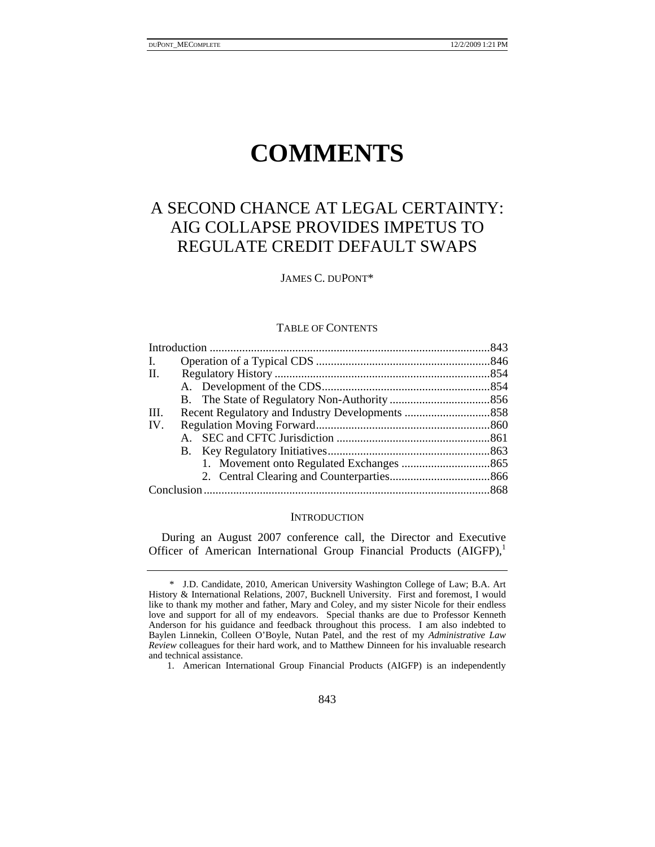# **COMMENTS**

## A SECOND CHANCE AT LEGAL CERTAINTY: AIG COLLAPSE PROVIDES IMPETUS TO REGULATE CREDIT DEFAULT SWAPS

JAMES C. DUPONT\*

#### TABLE OF CONTENTS

| I.   |  |
|------|--|
| II.  |  |
|      |  |
|      |  |
| III. |  |
| IV.  |  |
|      |  |
|      |  |
|      |  |
|      |  |
|      |  |

#### **INTRODUCTION**

During an August 2007 conference call, the Director and Executive Officer of American International Group Financial Products (AIGFP),<sup>1</sup>

 <sup>\*</sup> J.D. Candidate, 2010, American University Washington College of Law; B.A. Art History & International Relations, 2007, Bucknell University. First and foremost, I would like to thank my mother and father, Mary and Coley, and my sister Nicole for their endless love and support for all of my endeavors. Special thanks are due to Professor Kenneth Anderson for his guidance and feedback throughout this process. I am also indebted to Baylen Linnekin, Colleen O'Boyle, Nutan Patel, and the rest of my *Administrative Law Review* colleagues for their hard work, and to Matthew Dinneen for his invaluable research and technical assistance.

 <sup>1.</sup> American International Group Financial Products (AIGFP) is an independently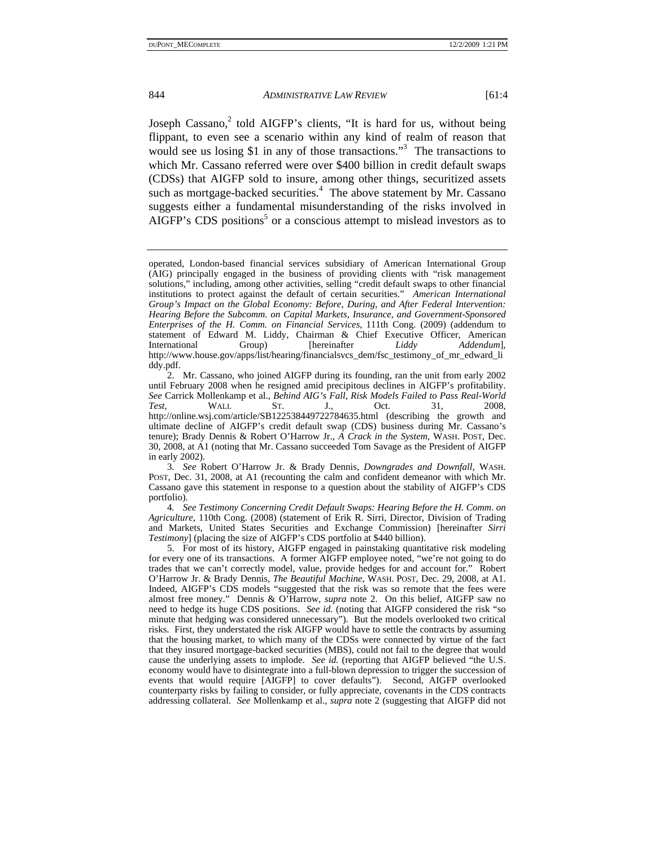Joseph Cassano,<sup>2</sup> told AIGFP's clients, "It is hard for us, without being flippant, to even see a scenario within any kind of realm of reason that would see us losing \$1 in any of those transactions."<sup>3</sup> The transactions to which Mr. Cassano referred were over \$400 billion in credit default swaps (CDSs) that AIGFP sold to insure, among other things, securitized assets such as mortgage-backed securities.<sup>4</sup> The above statement by Mr. Cassano suggests either a fundamental misunderstanding of the risks involved in AIGFP's CDS positions<sup>5</sup> or a conscious attempt to mislead investors as to

 2. Mr. Cassano, who joined AIGFP during its founding, ran the unit from early 2002 until February 2008 when he resigned amid precipitous declines in AIGFP's profitability. *See* Carrick Mollenkamp et al., *Behind AIG's Fall, Risk Models Failed to Pass Real-World Test*, WALL ST. J., Oct. 31, 2008, http://online.wsj.com/article/SB122538449722784635.html (describing the growth and ultimate decline of AIGFP's credit default swap (CDS) business during Mr. Cassano's tenure); Brady Dennis & Robert O'Harrow Jr., *A Crack in the System*, WASH. POST, Dec. 30, 2008, at A1 (noting that Mr. Cassano succeeded Tom Savage as the President of AIGFP in early 2002).

3*. See* Robert O'Harrow Jr. & Brady Dennis, *Downgrades and Downfall*, WASH. POST, Dec. 31, 2008, at A1 (recounting the calm and confident demeanor with which Mr. Cassano gave this statement in response to a question about the stability of AIGFP's CDS portfolio).

4*. See Testimony Concerning Credit Default Swaps: Hearing Before the H. Comm. on Agriculture*, 110th Cong. (2008) (statement of Erik R. Sirri, Director, Division of Trading and Markets, United States Securities and Exchange Commission) [hereinafter *Sirri Testimony*] (placing the size of AIGFP's CDS portfolio at \$440 billion).

 5. For most of its history, AIGFP engaged in painstaking quantitative risk modeling for every one of its transactions. A former AIGFP employee noted, "we're not going to do trades that we can't correctly model, value, provide hedges for and account for." Robert O'Harrow Jr. & Brady Dennis, *The Beautiful Machine*, WASH. POST, Dec. 29, 2008, at A1. Indeed, AIGFP's CDS models "suggested that the risk was so remote that the fees were almost free money." Dennis & O'Harrow, *supra* note 2. On this belief, AIGFP saw no need to hedge its huge CDS positions. *See id.* (noting that AIGFP considered the risk "so minute that hedging was considered unnecessary"). But the models overlooked two critical risks. First, they understated the risk AIGFP would have to settle the contracts by assuming that the housing market, to which many of the CDSs were connected by virtue of the fact that they insured mortgage-backed securities (MBS), could not fail to the degree that would cause the underlying assets to implode. *See id.* (reporting that AIGFP believed "the U.S. economy would have to disintegrate into a full-blown depression to trigger the succession of events that would require [AIGFP] to cover defaults"). Second, AIGFP overlooked counterparty risks by failing to consider, or fully appreciate, covenants in the CDS contracts addressing collateral. *See* Mollenkamp et al., *supra* note 2 (suggesting that AIGFP did not

operated, London-based financial services subsidiary of American International Group (AIG) principally engaged in the business of providing clients with "risk management solutions," including, among other activities, selling "credit default swaps to other financial institutions to protect against the default of certain securities." *American International Group's Impact on the Global Economy: Before, During, and After Federal Intervention: Hearing Before the Subcomm. on Capital Markets, Insurance, and Government-Sponsored Enterprises of the H. Comm. on Financial Services*, 111th Cong. (2009) (addendum to statement of Edward M. Liddy, Chairman & Chief Executive Officer, American International Group) [hereinafter Liddy Addendum], International http://www.house.gov/apps/list/hearing/financialsvcs\_dem/fsc\_testimony\_of\_mr\_edward\_li ddy.pdf.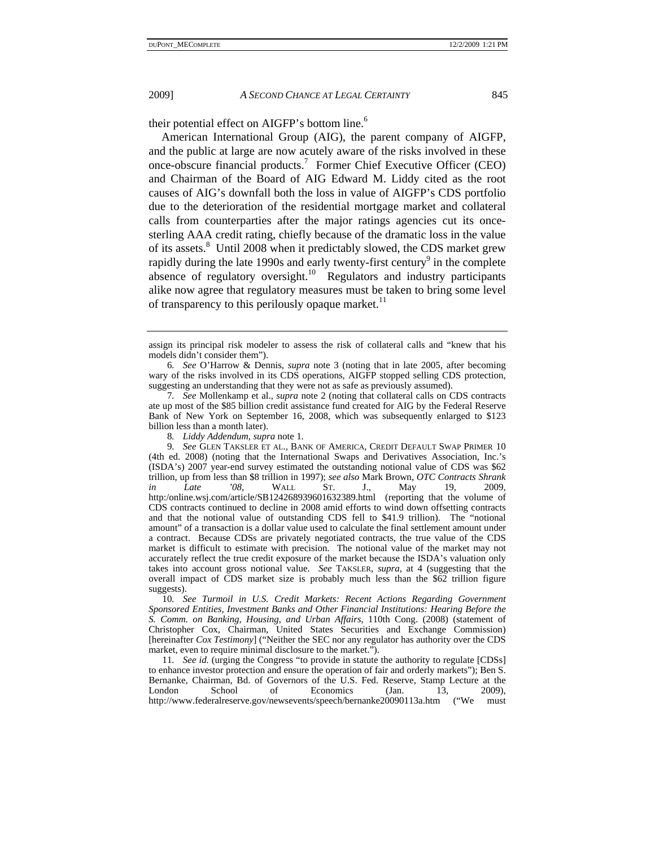their potential effect on AIGFP's bottom line.<sup>6</sup>

American International Group (AIG), the parent company of AIGFP, and the public at large are now acutely aware of the risks involved in these once-obscure financial products.<sup>7</sup> Former Chief Executive Officer (CEO) and Chairman of the Board of AIG Edward M. Liddy cited as the root causes of AIG's downfall both the loss in value of AIGFP's CDS portfolio due to the deterioration of the residential mortgage market and collateral calls from counterparties after the major ratings agencies cut its oncesterling AAA credit rating, chiefly because of the dramatic loss in the value of its assets.<sup>8</sup> Until 2008 when it predictably slowed, the CDS market grew rapidly during the late 1990s and early twenty-first century<sup>9</sup> in the complete absence of regulatory oversight.<sup>10</sup> Regulators and industry participants alike now agree that regulatory measures must be taken to bring some level of transparency to this perilously opaque market.<sup>11</sup>

10*. See Turmoil in U.S. Credit Markets: Recent Actions Regarding Government Sponsored Entities, Investment Banks and Other Financial Institutions: Hearing Before the S. Comm. on Banking, Housing, and Urban Affairs*, 110th Cong. (2008) (statement of Christopher Cox, Chairman, United States Securities and Exchange Commission) [hereinafter *Cox Testimony*] ("Neither the SEC nor any regulator has authority over the CDS market, even to require minimal disclosure to the market.").

11*. See id.* (urging the Congress "to provide in statute the authority to regulate [CDSs] to enhance investor protection and ensure the operation of fair and orderly markets"); Ben S. Bernanke, Chairman, Bd. of Governors of the U.S. Fed. Reserve, Stamp Lecture at the London School of Economics (Jan. 13, 2009), http://www.federalreserve.gov/newsevents/speech/bernanke20090113a.htm ("We must

assign its principal risk modeler to assess the risk of collateral calls and "knew that his models didn't consider them").

<sup>6</sup>*. See* O'Harrow & Dennis, *supra* note 3 (noting that in late 2005, after becoming wary of the risks involved in its CDS operations, AIGFP stopped selling CDS protection, suggesting an understanding that they were not as safe as previously assumed).

<sup>7</sup>*. See* Mollenkamp et al., *supra* note 2 (noting that collateral calls on CDS contracts ate up most of the \$85 billion credit assistance fund created for AIG by the Federal Reserve Bank of New York on September 16, 2008, which was subsequently enlarged to \$123 billion less than a month later).

<sup>8</sup>*. Liddy Addendum*, *supra* note 1.

<sup>9</sup>*. See* GLEN TAKSLER ET AL., BANK OF AMERICA, CREDIT DEFAULT SWAP PRIMER 10 (4th ed. 2008) (noting that the International Swaps and Derivatives Association, Inc.'s (ISDA's) 2007 year-end survey estimated the outstanding notional value of CDS was \$62 trillion, up from less than \$8 trillion in 1997); *see also* Mark Brown, *OTC Contracts Shrank in Late '08*, WALL ST. J., May 19, 2009, http:/online.wsj.com/article/SB124268939601632389.html (reporting that the volume of CDS contracts continued to decline in 2008 amid efforts to wind down offsetting contracts and that the notional value of outstanding CDS fell to \$41.9 trillion). The "notional amount" of a transaction is a dollar value used to calculate the final settlement amount under a contract. Because CDSs are privately negotiated contracts, the true value of the CDS market is difficult to estimate with precision. The notional value of the market may not accurately reflect the true credit exposure of the market because the ISDA's valuation only takes into account gross notional value. *See* TAKSLER, *supra*, at 4 (suggesting that the overall impact of CDS market size is probably much less than the \$62 trillion figure suggests).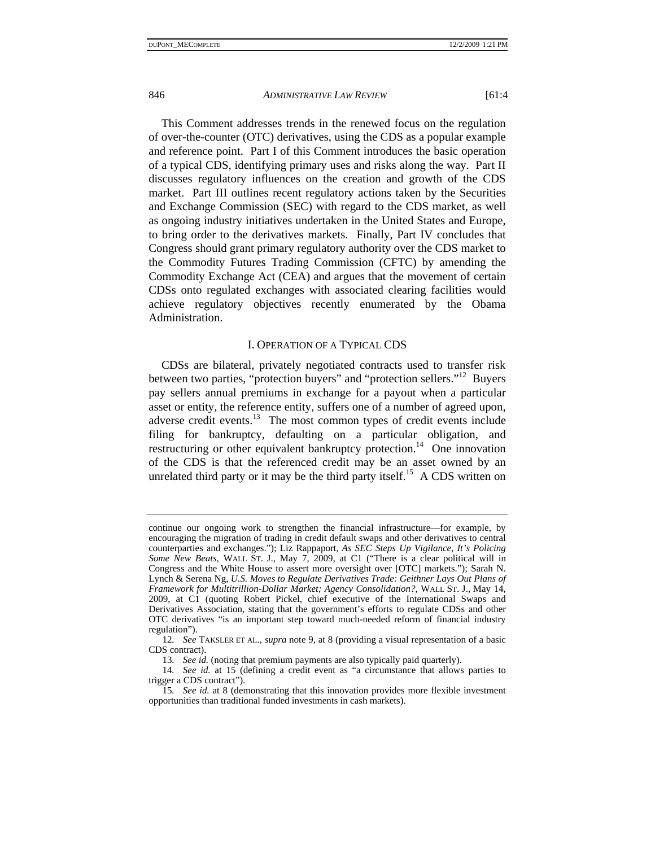This Comment addresses trends in the renewed focus on the regulation of over-the-counter (OTC) derivatives, using the CDS as a popular example and reference point. Part I of this Comment introduces the basic operation of a typical CDS, identifying primary uses and risks along the way. Part II discusses regulatory influences on the creation and growth of the CDS market. Part III outlines recent regulatory actions taken by the Securities and Exchange Commission (SEC) with regard to the CDS market, as well as ongoing industry initiatives undertaken in the United States and Europe, to bring order to the derivatives markets. Finally, Part IV concludes that Congress should grant primary regulatory authority over the CDS market to the Commodity Futures Trading Commission (CFTC) by amending the Commodity Exchange Act (CEA) and argues that the movement of certain CDSs onto regulated exchanges with associated clearing facilities would achieve regulatory objectives recently enumerated by the Obama Administration.

### I. OPERATION OF A TYPICAL CDS

CDSs are bilateral, privately negotiated contracts used to transfer risk between two parties, "protection buyers" and "protection sellers."12 Buyers pay sellers annual premiums in exchange for a payout when a particular asset or entity, the reference entity, suffers one of a number of agreed upon, adverse credit events.<sup>13</sup> The most common types of credit events include filing for bankruptcy, defaulting on a particular obligation, and restructuring or other equivalent bankruptcy protection.<sup>14</sup> One innovation of the CDS is that the referenced credit may be an asset owned by an unrelated third party or it may be the third party itself.<sup>15</sup> A CDS written on

continue our ongoing work to strengthen the financial infrastructure—for example, by encouraging the migration of trading in credit default swaps and other derivatives to central counterparties and exchanges."); Liz Rappaport, *As SEC Steps Up Vigilance, It's Policing Some New Beats*, WALL ST. J., May 7, 2009, at C1 ("There is a clear political will in Congress and the White House to assert more oversight over [OTC] markets."); Sarah N. Lynch & Serena Ng, *U.S. Moves to Regulate Derivatives Trade: Geithner Lays Out Plans of Framework for Multitrillion-Dollar Market; Agency Consolidation?*, WALL ST. J., May 14, 2009, at C1 (quoting Robert Pickel, chief executive of the International Swaps and Derivatives Association, stating that the government's efforts to regulate CDSs and other OTC derivatives "is an important step toward much-needed reform of financial industry regulation").

<sup>12</sup>*. See* TAKSLER ET AL., *supra* note 9, at 8 (providing a visual representation of a basic CDS contract).

<sup>13</sup>*. See id.* (noting that premium payments are also typically paid quarterly).

<sup>14</sup>*. See id.* at 15 (defining a credit event as "a circumstance that allows parties to trigger a CDS contract").

<sup>15</sup>*. See id.* at 8 (demonstrating that this innovation provides more flexible investment opportunities than traditional funded investments in cash markets).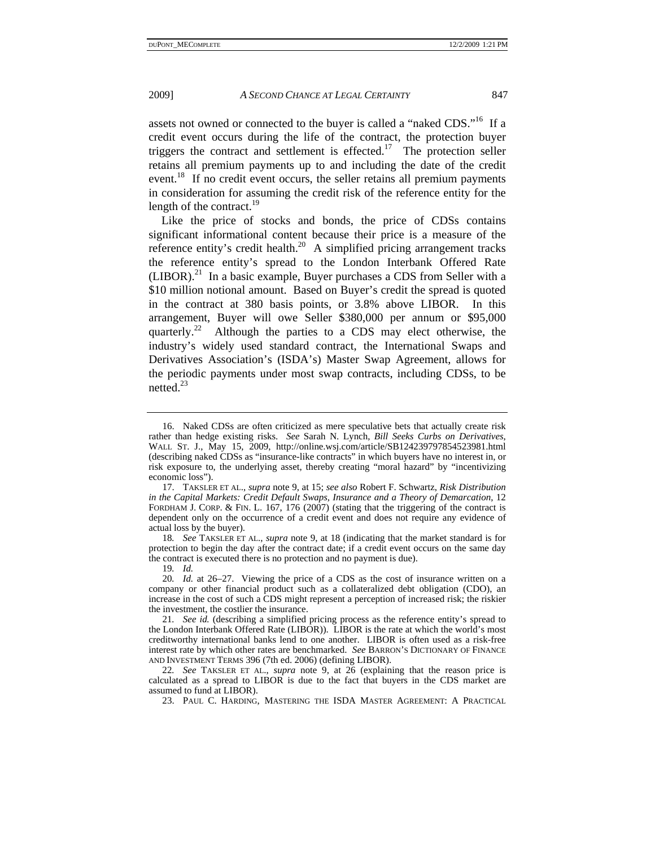assets not owned or connected to the buyer is called a "naked CDS."16 If a credit event occurs during the life of the contract, the protection buyer triggers the contract and settlement is effected.<sup>17</sup> The protection seller retains all premium payments up to and including the date of the credit event.<sup>18</sup> If no credit event occurs, the seller retains all premium payments in consideration for assuming the credit risk of the reference entity for the length of the contract.<sup>19</sup>

Like the price of stocks and bonds, the price of CDSs contains significant informational content because their price is a measure of the reference entity's credit health.<sup>20</sup> A simplified pricing arrangement tracks the reference entity's spread to the London Interbank Offered Rate  $(LIBOR).<sup>21</sup>$  In a basic example, Buyer purchases a CDS from Seller with a \$10 million notional amount. Based on Buyer's credit the spread is quoted in the contract at 380 basis points, or 3.8% above LIBOR. In this arrangement, Buyer will owe Seller \$380,000 per annum or \$95,000 quarterly.<sup>22</sup> Although the parties to a CDS may elect otherwise, the industry's widely used standard contract, the International Swaps and Derivatives Association's (ISDA's) Master Swap Agreement, allows for the periodic payments under most swap contracts, including CDSs, to be netted.23

 17. TAKSLER ET AL., *supra* note 9, at 15; *see also* Robert F. Schwartz, *Risk Distribution in the Capital Markets: Credit Default Swaps, Insurance and a Theory of Demarcation*, 12 FORDHAM J. CORP. & FIN. L. 167, 176 (2007) (stating that the triggering of the contract is dependent only on the occurrence of a credit event and does not require any evidence of actual loss by the buyer).

18*. See* TAKSLER ET AL., *supra* note 9, at 18 (indicating that the market standard is for protection to begin the day after the contract date; if a credit event occurs on the same day the contract is executed there is no protection and no payment is due).

 <sup>16.</sup> Naked CDSs are often criticized as mere speculative bets that actually create risk rather than hedge existing risks. *See* Sarah N. Lynch, *Bill Seeks Curbs on Derivatives*, WALL ST. J., May 15, 2009, http://online.wsj.com/article/SB124239797854523981.html (describing naked CDSs as "insurance-like contracts" in which buyers have no interest in, or risk exposure to, the underlying asset, thereby creating "moral hazard" by "incentivizing economic loss").

<sup>19</sup>*. Id.*

<sup>20</sup>*. Id.* at 26–27. Viewing the price of a CDS as the cost of insurance written on a company or other financial product such as a collateralized debt obligation (CDO), an increase in the cost of such a CDS might represent a perception of increased risk; the riskier the investment, the costlier the insurance.

<sup>21</sup>*. See id.* (describing a simplified pricing process as the reference entity's spread to the London Interbank Offered Rate (LIBOR)). LIBOR is the rate at which the world's most creditworthy international banks lend to one another. LIBOR is often used as a risk-free interest rate by which other rates are benchmarked. *See* BARRON'S DICTIONARY OF FINANCE AND INVESTMENT TERMS 396 (7th ed. 2006) (defining LIBOR).

<sup>22</sup>*. See* TAKSLER ET AL., *supra* note 9, at 26 (explaining that the reason price is calculated as a spread to LIBOR is due to the fact that buyers in the CDS market are assumed to fund at LIBOR).

 <sup>23.</sup> PAUL C. HARDING, MASTERING THE ISDA MASTER AGREEMENT: A PRACTICAL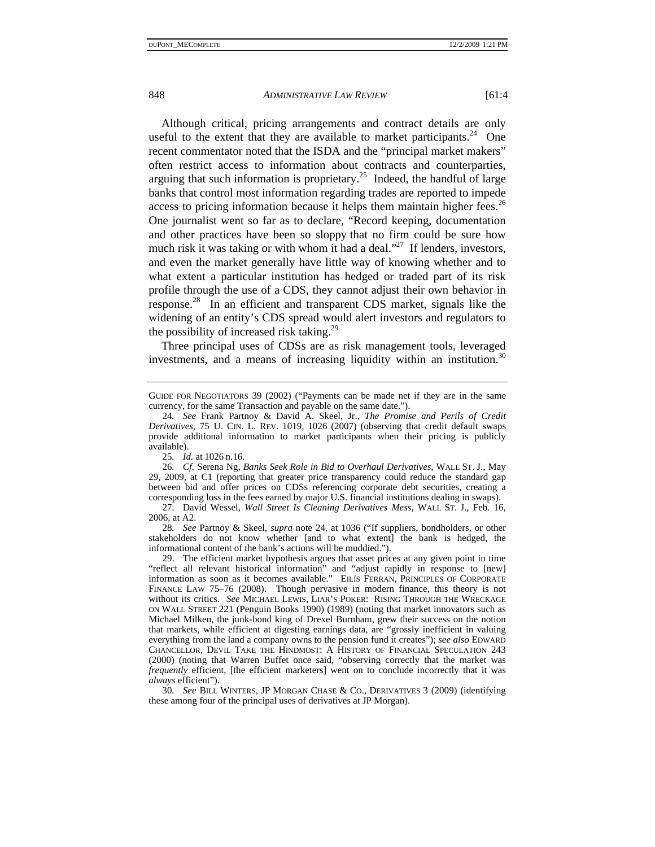Although critical, pricing arrangements and contract details are only useful to the extent that they are available to market participants.<sup>24</sup> One recent commentator noted that the ISDA and the "principal market makers" often restrict access to information about contracts and counterparties, arguing that such information is proprietary.<sup>25</sup> Indeed, the handful of large banks that control most information regarding trades are reported to impede access to pricing information because it helps them maintain higher fees.<sup>26</sup> One journalist went so far as to declare, "Record keeping, documentation and other practices have been so sloppy that no firm could be sure how much risk it was taking or with whom it had a deal. $27$  If lenders, investors, and even the market generally have little way of knowing whether and to what extent a particular institution has hedged or traded part of its risk profile through the use of a CDS, they cannot adjust their own behavior in response.<sup>28</sup> In an efficient and transparent CDS market, signals like the widening of an entity's CDS spread would alert investors and regulators to the possibility of increased risk taking.<sup>29</sup>

Three principal uses of CDSs are as risk management tools, leveraged investments, and a means of increasing liquidity within an institution.<sup>30</sup>

28*. See* Partnoy & Skeel, *supra* note 24, at 1036 ("If suppliers, bondholders, or other stakeholders do not know whether [and to what extent] the bank is hedged, the informational content of the bank's actions will be muddied.").

30*. See* BILL WINTERS, JP MORGAN CHASE & CO., DERIVATIVES 3 (2009) (identifying these among four of the principal uses of derivatives at JP Morgan).

GUIDE FOR NEGOTIATORS 39 (2002) ("Payments can be made net if they are in the same currency, for the same Transaction and payable on the same date.").

<sup>24</sup>*. See* Frank Partnoy & David A. Skeel, Jr., *The Promise and Perils of Credit Derivatives*, 75 U. CIN. L. REV. 1019, 1026 (2007) (observing that credit default swaps provide additional information to market participants when their pricing is publicly available).

<sup>25</sup>*. Id.* at 1026 n.16.

<sup>26</sup>*. Cf.* Serena Ng, *Banks Seek Role in Bid to Overhaul Derivatives*, WALL ST. J., May 29, 2009, at C1 (reporting that greater price transparency could reduce the standard gap between bid and offer prices on CDSs referencing corporate debt securities, creating a corresponding loss in the fees earned by major U.S. financial institutions dealing in swaps).

 <sup>27.</sup> David Wessel, *Wall Street Is Cleaning Derivatives Mess*, WALL ST. J., Feb. 16, 2006, at A2.

 <sup>29.</sup> The efficient market hypothesis argues that asset prices at any given point in time "reflect all relevant historical information" and "adjust rapidly in response to [new] information as soon as it becomes available." EILÍS FERRAN, PRINCIPLES OF CORPORATE FINANCE LAW 75–76 (2008). Though pervasive in modern finance, this theory is not without its critics. *See* MICHAEL LEWIS, LIAR'S POKER: RISING THROUGH THE WRECKAGE ON WALL STREET 221 (Penguin Books 1990) (1989) (noting that market innovators such as Michael Milken, the junk-bond king of Drexel Burnham, grew their success on the notion that markets, while efficient at digesting earnings data, are "grossly inefficient in valuing everything from the land a company owns to the pension fund it creates"); *see also* EDWARD CHANCELLOR, DEVIL TAKE THE HINDMOST: A HISTORY OF FINANCIAL SPECULATION 243 (2000) (noting that Warren Buffet once said, "observing correctly that the market was *frequently* efficient, [the efficient marketers] went on to conclude incorrectly that it was *always* efficient").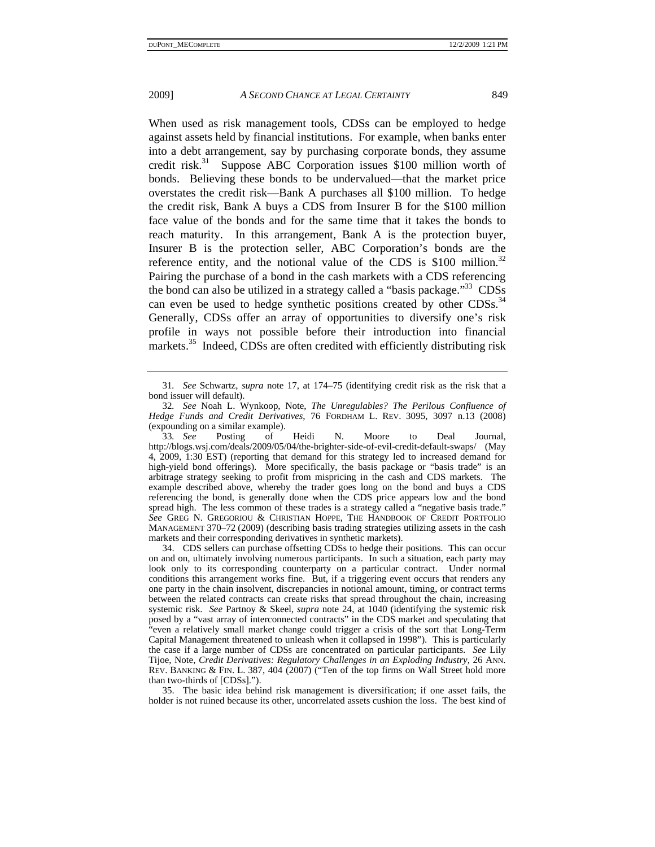When used as risk management tools, CDSs can be employed to hedge against assets held by financial institutions. For example, when banks enter into a debt arrangement, say by purchasing corporate bonds, they assume credit risk.<sup>31</sup> Suppose ABC Corporation issues \$100 million worth of bonds. Believing these bonds to be undervalued—that the market price overstates the credit risk—Bank A purchases all \$100 million. To hedge the credit risk, Bank A buys a CDS from Insurer B for the \$100 million face value of the bonds and for the same time that it takes the bonds to reach maturity. In this arrangement, Bank A is the protection buyer, Insurer B is the protection seller, ABC Corporation's bonds are the reference entity, and the notional value of the CDS is \$100 million.<sup>32</sup> Pairing the purchase of a bond in the cash markets with a CDS referencing the bond can also be utilized in a strategy called a "basis package."<sup>33</sup> CDSs can even be used to hedge synthetic positions created by other  $CDSs$ .<sup>34</sup> Generally, CDSs offer an array of opportunities to diversify one's risk profile in ways not possible before their introduction into financial markets.<sup>35</sup> Indeed, CDSs are often credited with efficiently distributing risk

 34. CDS sellers can purchase offsetting CDSs to hedge their positions. This can occur on and on, ultimately involving numerous participants. In such a situation, each party may look only to its corresponding counterparty on a particular contract. Under normal conditions this arrangement works fine. But, if a triggering event occurs that renders any one party in the chain insolvent, discrepancies in notional amount, timing, or contract terms between the related contracts can create risks that spread throughout the chain, increasing systemic risk. *See* Partnoy & Skeel, *supra* note 24, at 1040 (identifying the systemic risk posed by a "vast array of interconnected contracts" in the CDS market and speculating that "even a relatively small market change could trigger a crisis of the sort that Long-Term Capital Management threatened to unleash when it collapsed in 1998"). This is particularly the case if a large number of CDSs are concentrated on particular participants. *See* Lily Tijoe, Note, *Credit Derivatives: Regulatory Challenges in an Exploding Industry*, 26 ANN. REV. BANKING & FIN. L. 387, 404 (2007) ("Ten of the top firms on Wall Street hold more than two-thirds of [CDSs].").

 35. The basic idea behind risk management is diversification; if one asset fails, the holder is not ruined because its other, uncorrelated assets cushion the loss. The best kind of

<sup>31</sup>*. See* Schwartz, *supra* note 17, at 174–75 (identifying credit risk as the risk that a bond issuer will default).

<sup>32</sup>*. See* Noah L. Wynkoop, Note, *The Unregulables? The Perilous Confluence of Hedge Funds and Credit Derivatives*, 76 FORDHAM L. REV. 3095, 3097 n.13 (2008) (expounding on a similar example).<br>33. See Posting of

<sup>33</sup>*. See* Posting of Heidi N. Moore to Deal Journal, http://blogs.wsj.com/deals/2009/05/04/the-brighter-side-of-evil-credit-default-swaps/ (May 4, 2009, 1:30 EST) (reporting that demand for this strategy led to increased demand for high-yield bond offerings). More specifically, the basis package or "basis trade" is an arbitrage strategy seeking to profit from mispricing in the cash and CDS markets. The example described above, whereby the trader goes long on the bond and buys a CDS referencing the bond, is generally done when the CDS price appears low and the bond spread high. The less common of these trades is a strategy called a "negative basis trade." *See* GREG N. GREGORIOU & CHRISTIAN HOPPE, THE HANDBOOK OF CREDIT PORTFOLIO MANAGEMENT 370–72 (2009) (describing basis trading strategies utilizing assets in the cash markets and their corresponding derivatives in synthetic markets).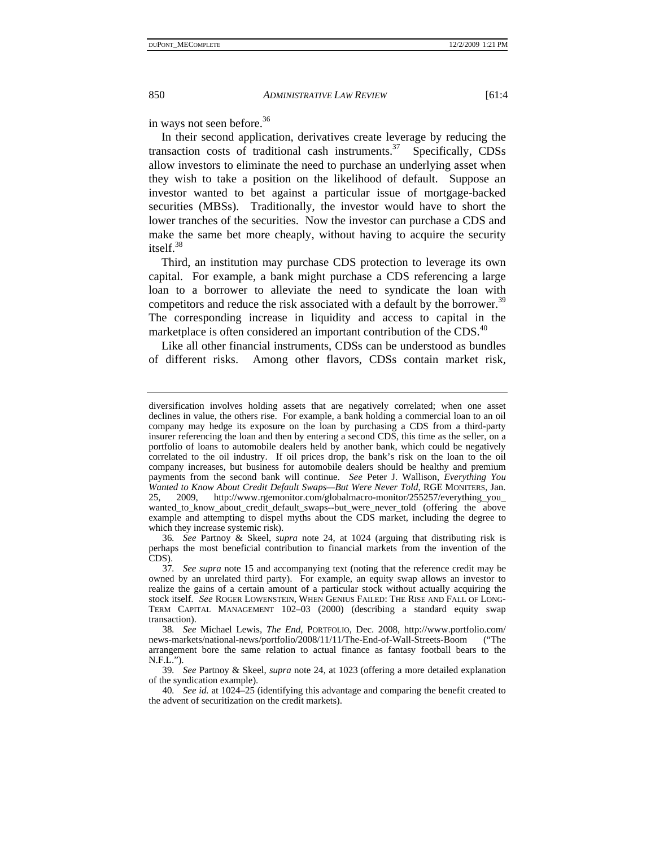in ways not seen before.<sup>36</sup>

In their second application, derivatives create leverage by reducing the transaction costs of traditional cash instruments.<sup>37</sup> Specifically, CDSs allow investors to eliminate the need to purchase an underlying asset when they wish to take a position on the likelihood of default. Suppose an investor wanted to bet against a particular issue of mortgage-backed securities (MBSs). Traditionally, the investor would have to short the lower tranches of the securities. Now the investor can purchase a CDS and make the same bet more cheaply, without having to acquire the security itsel $f^{38}$ 

Third, an institution may purchase CDS protection to leverage its own capital. For example, a bank might purchase a CDS referencing a large loan to a borrower to alleviate the need to syndicate the loan with competitors and reduce the risk associated with a default by the borrower.<sup>39</sup> The corresponding increase in liquidity and access to capital in the marketplace is often considered an important contribution of the CDS.<sup>40</sup>

Like all other financial instruments, CDSs can be understood as bundles of different risks. Among other flavors, CDSs contain market risk,

diversification involves holding assets that are negatively correlated; when one asset declines in value, the others rise. For example, a bank holding a commercial loan to an oil company may hedge its exposure on the loan by purchasing a CDS from a third-party insurer referencing the loan and then by entering a second CDS, this time as the seller, on a portfolio of loans to automobile dealers held by another bank, which could be negatively correlated to the oil industry. If oil prices drop, the bank's risk on the loan to the oil company increases, but business for automobile dealers should be healthy and premium payments from the second bank will continue. *See* Peter J. Wallison, *Everything You Wanted to Know About Credit Default Swaps—But Were Never Told*, RGE MONITERS, Jan. 25, 2009, http://www.rgemonitor.com/globalmacro-monitor/255257/everything\_you\_ wanted\_to\_know\_about\_credit\_default\_swaps--but\_were\_never\_told (offering the above example and attempting to dispel myths about the CDS market, including the degree to which they increase systemic risk).

<sup>36</sup>*. See* Partnoy & Skeel, *supra* note 24, at 1024 (arguing that distributing risk is perhaps the most beneficial contribution to financial markets from the invention of the CDS).

<sup>37</sup>*. See supra* note 15 and accompanying text (noting that the reference credit may be owned by an unrelated third party). For example, an equity swap allows an investor to realize the gains of a certain amount of a particular stock without actually acquiring the stock itself. *See* ROGER LOWENSTEIN, WHEN GENIUS FAILED: THE RISE AND FALL OF LONG-TERM CAPITAL MANAGEMENT 102–03 (2000) (describing a standard equity swap transaction).

<sup>38</sup>*. See* Michael Lewis, *The End*, PORTFOLIO, Dec. 2008, http://www.portfolio.com/ news-markets/national-news/portfolio/2008/11/11/The-End-of-Wall-Streets-Boom ("The arrangement bore the same relation to actual finance as fantasy football bears to the N.F.L.").

<sup>39</sup>*. See* Partnoy & Skeel, *supra* note 24, at 1023 (offering a more detailed explanation of the syndication example).

<sup>40</sup>*. See id.* at 1024–25 (identifying this advantage and comparing the benefit created to the advent of securitization on the credit markets).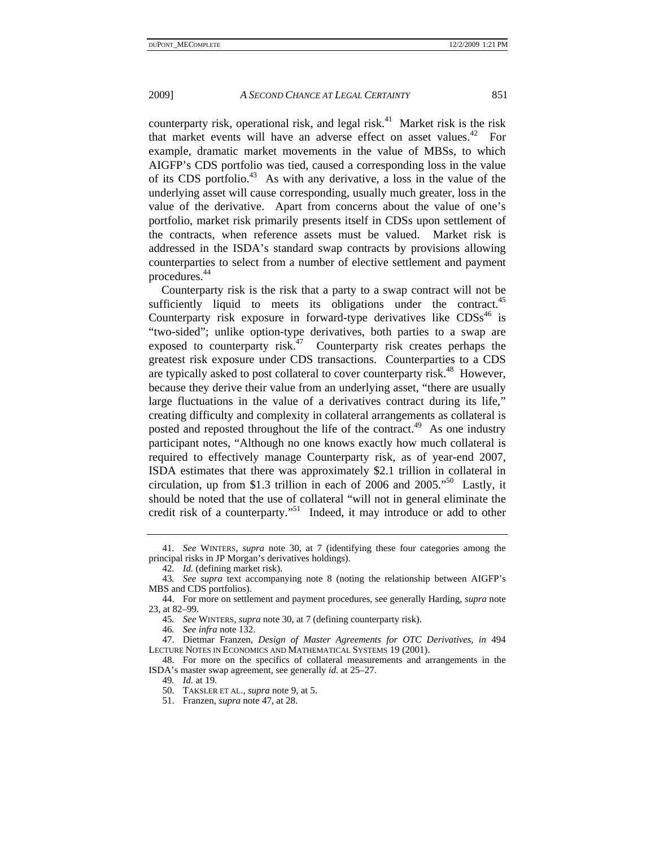counterparty risk, operational risk, and legal risk.<sup>41</sup> Market risk is the risk that market events will have an adverse effect on asset values.<sup>42</sup> For example, dramatic market movements in the value of MBSs, to which AIGFP's CDS portfolio was tied, caused a corresponding loss in the value of its CDS portfolio.<sup>43</sup> As with any derivative, a loss in the value of the underlying asset will cause corresponding, usually much greater, loss in the value of the derivative. Apart from concerns about the value of one's portfolio, market risk primarily presents itself in CDSs upon settlement of the contracts, when reference assets must be valued. Market risk is addressed in the ISDA's standard swap contracts by provisions allowing counterparties to select from a number of elective settlement and payment procedures.44

Counterparty risk is the risk that a party to a swap contract will not be sufficiently liquid to meets its obligations under the contract.<sup>45</sup> Counterparty risk exposure in forward-type derivatives like  $CDSs<sup>46</sup>$  is "two-sided"; unlike option-type derivatives, both parties to a swap are exposed to counterparty risk.<sup>47</sup> Counterparty risk creates perhaps the greatest risk exposure under CDS transactions. Counterparties to a CDS are typically asked to post collateral to cover counterparty risk.<sup>48</sup> However, because they derive their value from an underlying asset, "there are usually large fluctuations in the value of a derivatives contract during its life," creating difficulty and complexity in collateral arrangements as collateral is posted and reposted throughout the life of the contract.<sup>49</sup> As one industry participant notes, "Although no one knows exactly how much collateral is required to effectively manage Counterparty risk, as of year-end 2007, ISDA estimates that there was approximately \$2.1 trillion in collateral in circulation, up from \$1.3 trillion in each of 2006 and 2005."50 Lastly, it should be noted that the use of collateral "will not in general eliminate the credit risk of a counterparty."<sup>51</sup> Indeed, it may introduce or add to other

<sup>41</sup>*. See* WINTERS, *supra* note 30, at 7 (identifying these four categories among the principal risks in JP Morgan's derivatives holdings).

<sup>42</sup>*. Id.* (defining market risk).

<sup>43</sup>*. See supra* text accompanying note 8 (noting the relationship between AIGFP's MBS and CDS portfolios).

 <sup>44.</sup> For more on settlement and payment procedures, see generally Harding, *supra* note 23, at 82–99.

<sup>45</sup>*. See* WINTERS, *supra* note 30, at 7 (defining counterparty risk).

<sup>46</sup>*. See infra* note 132.

 <sup>47.</sup> Dietmar Franzen, *Design of Master Agreements for OTC Derivatives*, *in* 494 LECTURE NOTES IN ECONOMICS AND MATHEMATICAL SYSTEMS 19 (2001).

 <sup>48.</sup> For more on the specifics of collateral measurements and arrangements in the ISDA's master swap agreement, see generally *id.* at 25–27.

<sup>49</sup>*. Id.* at 19.

 <sup>50.</sup> TAKSLER ET AL., *supra* note 9, at 5.

 <sup>51.</sup> Franzen, *supra* note 47, at 28.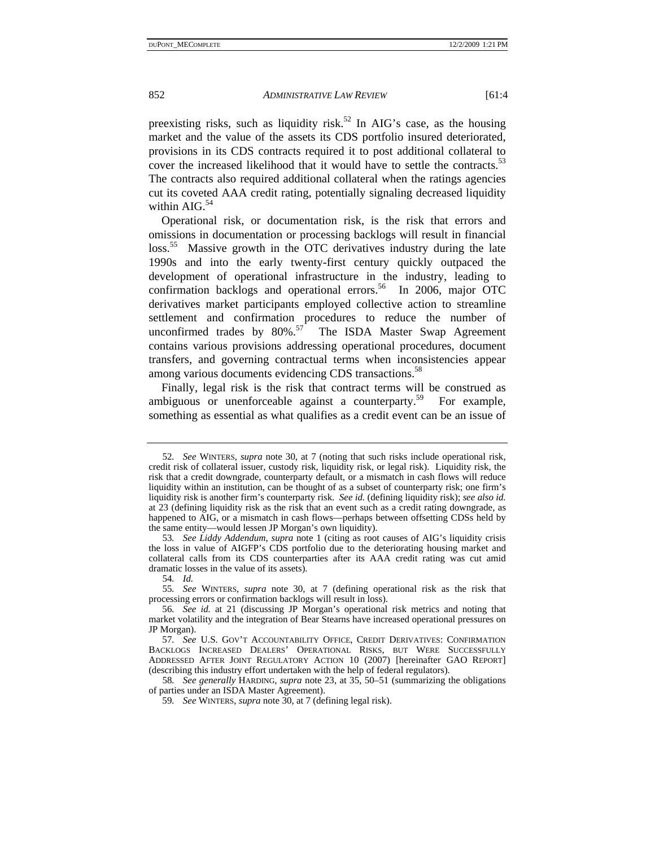preexisting risks, such as liquidity risk.<sup>52</sup> In AIG's case, as the housing market and the value of the assets its CDS portfolio insured deteriorated, provisions in its CDS contracts required it to post additional collateral to cover the increased likelihood that it would have to settle the contracts.<sup>53</sup> The contracts also required additional collateral when the ratings agencies cut its coveted AAA credit rating, potentially signaling decreased liquidity within  $AIG<sup>54</sup>$ 

Operational risk, or documentation risk, is the risk that errors and omissions in documentation or processing backlogs will result in financial loss.<sup>55</sup> Massive growth in the OTC derivatives industry during the late 1990s and into the early twenty-first century quickly outpaced the development of operational infrastructure in the industry, leading to confirmation backlogs and operational errors.<sup>56</sup> In 2006, major OTC derivatives market participants employed collective action to streamline settlement and confirmation procedures to reduce the number of unconfirmed trades by  $80\%$ .<sup>57</sup> The ISDA Master Swap Agreement contains various provisions addressing operational procedures, document transfers, and governing contractual terms when inconsistencies appear among various documents evidencing CDS transactions.<sup>58</sup>

Finally, legal risk is the risk that contract terms will be construed as ambiguous or unenforceable against a counterparty.<sup>59</sup> For example, something as essential as what qualifies as a credit event can be an issue of

<sup>52</sup>*. See* WINTERS, *supra* note 30, at 7 (noting that such risks include operational risk, credit risk of collateral issuer, custody risk, liquidity risk, or legal risk). Liquidity risk, the risk that a credit downgrade, counterparty default, or a mismatch in cash flows will reduce liquidity within an institution, can be thought of as a subset of counterparty risk; one firm's liquidity risk is another firm's counterparty risk. *See id.* (defining liquidity risk); *see also id.*  at 23 (defining liquidity risk as the risk that an event such as a credit rating downgrade, as happened to AIG, or a mismatch in cash flows—perhaps between offsetting CDSs held by the same entity—would lessen JP Morgan's own liquidity).

<sup>53</sup>*. See Liddy Addendum*, *supra* note 1 (citing as root causes of AIG's liquidity crisis the loss in value of AIGFP's CDS portfolio due to the deteriorating housing market and collateral calls from its CDS counterparties after its AAA credit rating was cut amid dramatic losses in the value of its assets).

<sup>54</sup>*. Id.*

<sup>55</sup>*. See* WINTERS, *supra* note 30, at 7 (defining operational risk as the risk that processing errors or confirmation backlogs will result in loss).

<sup>56</sup>*. See id.* at 21 (discussing JP Morgan's operational risk metrics and noting that market volatility and the integration of Bear Stearns have increased operational pressures on JP Morgan).

<sup>57</sup>*. See* U.S. GOV'T ACCOUNTABILITY OFFICE, CREDIT DERIVATIVES: CONFIRMATION BACKLOGS INCREASED DEALERS' OPERATIONAL RISKS, BUT WERE SUCCESSFULLY ADDRESSED AFTER JOINT REGULATORY ACTION 10 (2007) [hereinafter GAO REPORT] (describing this industry effort undertaken with the help of federal regulators).

<sup>58</sup>*. See generally* HARDING, *supra* note 23, at 35, 50–51 (summarizing the obligations of parties under an ISDA Master Agreement).

<sup>59</sup>*. See* WINTERS, *supra* note 30, at 7 (defining legal risk).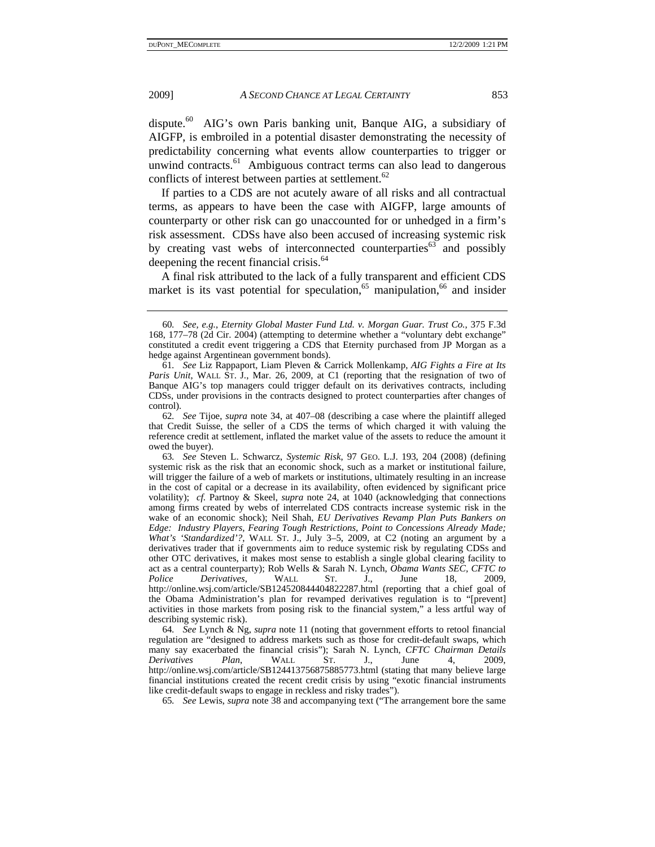dispute.<sup>60</sup> AIG's own Paris banking unit, Banque AIG, a subsidiary of AIGFP, is embroiled in a potential disaster demonstrating the necessity of predictability concerning what events allow counterparties to trigger or unwind contracts.<sup>61</sup> Ambiguous contract terms can also lead to dangerous conflicts of interest between parties at settlement.<sup>62</sup>

If parties to a CDS are not acutely aware of all risks and all contractual terms, as appears to have been the case with AIGFP, large amounts of counterparty or other risk can go unaccounted for or unhedged in a firm's risk assessment. CDSs have also been accused of increasing systemic risk by creating vast webs of interconnected counterparties<sup>63</sup> and possibly deepening the recent financial crisis.<sup>64</sup>

A final risk attributed to the lack of a fully transparent and efficient CDS market is its vast potential for speculation,<sup>65</sup> manipulation,<sup>66</sup> and insider

63*. See* Steven L. Schwarcz, *Systemic Risk*, 97 GEO. L.J. 193, 204 (2008) (defining systemic risk as the risk that an economic shock, such as a market or institutional failure, will trigger the failure of a web of markets or institutions, ultimately resulting in an increase in the cost of capital or a decrease in its availability, often evidenced by significant price volatility); *cf.* Partnoy & Skeel, *supra* note 24, at 1040 (acknowledging that connections among firms created by webs of interrelated CDS contracts increase systemic risk in the wake of an economic shock); Neil Shah, *EU Derivatives Revamp Plan Puts Bankers on Edge: Industry Players, Fearing Tough Restrictions, Point to Concessions Already Made; What's 'Standardized'?*, WALL ST. J., July 3–5, 2009, at C2 (noting an argument by a derivatives trader that if governments aim to reduce systemic risk by regulating CDSs and other OTC derivatives, it makes most sense to establish a single global clearing facility to act as a central counterparty); Rob Wells & Sarah N. Lynch, *Obama Wants SEC, CFTC to Police Derivatives*, WALL ST. J., June 18, 2009, http://online.wsj.com/article/SB124520844404822287.html (reporting that a chief goal of the Obama Administration's plan for revamped derivatives regulation is to "[prevent] activities in those markets from posing risk to the financial system," a less artful way of describing systemic risk).

64*. See* Lynch & Ng, *supra* note 11 (noting that government efforts to retool financial regulation are "designed to address markets such as those for credit-default swaps, which many say exacerbated the financial crisis"); Sarah N. Lynch, *CFTC Chairman Details Derivatives Plan*, WALL ST. J., June 4, 2009, http://online.wsj.com/article/SB124413756875885773.html (stating that many believe large financial institutions created the recent credit crisis by using "exotic financial instruments like credit-default swaps to engage in reckless and risky trades").

65*. See* Lewis, *supra* note 38 and accompanying text ("The arrangement bore the same

<sup>60</sup>*. See, e.g.*, *Eternity Global Master Fund Ltd. v. Morgan Guar. Trust Co.*, 375 F.3d 168, 177–78 (2d Cir. 2004) (attempting to determine whether a "voluntary debt exchange" constituted a credit event triggering a CDS that Eternity purchased from JP Morgan as a hedge against Argentinean government bonds).

<sup>61</sup>*. See* Liz Rappaport, Liam Pleven & Carrick Mollenkamp, *AIG Fights a Fire at Its Paris Unit*, WALL ST. J., Mar. 26, 2009, at C1 (reporting that the resignation of two of Banque AIG's top managers could trigger default on its derivatives contracts, including CDSs, under provisions in the contracts designed to protect counterparties after changes of control).

<sup>62</sup>*. See* Tijoe, *supra* note 34, at 407–08 (describing a case where the plaintiff alleged that Credit Suisse, the seller of a CDS the terms of which charged it with valuing the reference credit at settlement, inflated the market value of the assets to reduce the amount it owed the buyer).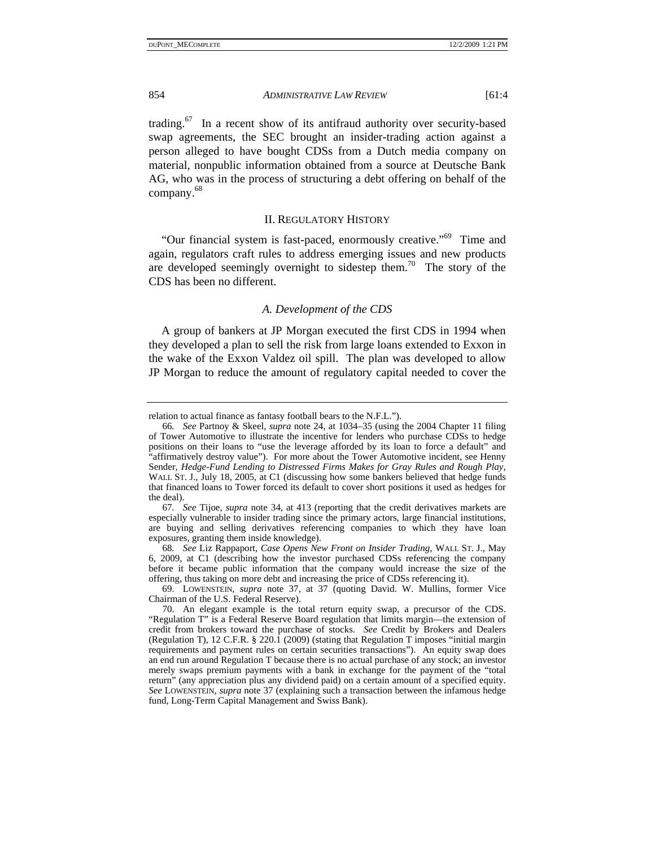trading.67 In a recent show of its antifraud authority over security-based swap agreements, the SEC brought an insider-trading action against a person alleged to have bought CDSs from a Dutch media company on material, nonpublic information obtained from a source at Deutsche Bank AG, who was in the process of structuring a debt offering on behalf of the company.68

#### II. REGULATORY HISTORY

"Our financial system is fast-paced, enormously creative."69 Time and again, regulators craft rules to address emerging issues and new products are developed seemingly overnight to sidestep them.<sup>70</sup> The story of the CDS has been no different.

#### *A. Development of the CDS*

A group of bankers at JP Morgan executed the first CDS in 1994 when they developed a plan to sell the risk from large loans extended to Exxon in the wake of the Exxon Valdez oil spill. The plan was developed to allow JP Morgan to reduce the amount of regulatory capital needed to cover the

relation to actual finance as fantasy football bears to the N.F.L.").

<sup>66</sup>*. See* Partnoy & Skeel, *supra* note 24, at 1034–35 (using the 2004 Chapter 11 filing of Tower Automotive to illustrate the incentive for lenders who purchase CDSs to hedge positions on their loans to "use the leverage afforded by its loan to force a default" and "affirmatively destroy value"). For more about the Tower Automotive incident, see Henny Sender, *Hedge-Fund Lending to Distressed Firms Makes for Gray Rules and Rough Play*, WALL ST. J., July 18, 2005, at C1 (discussing how some bankers believed that hedge funds that financed loans to Tower forced its default to cover short positions it used as hedges for the deal).

<sup>67</sup>*. See* Tijoe, *supra* note 34, at 413 (reporting that the credit derivatives markets are especially vulnerable to insider trading since the primary actors, large financial institutions, are buying and selling derivatives referencing companies to which they have loan exposures, granting them inside knowledge).

<sup>68</sup>*. See* Liz Rappaport, *Case Opens New Front on Insider Trading*, WALL ST. J., May 6, 2009, at C1 (describing how the investor purchased CDSs referencing the company before it became public information that the company would increase the size of the offering, thus taking on more debt and increasing the price of CDSs referencing it).

 <sup>69.</sup> LOWENSTEIN, *supra* note 37, at 37 (quoting David. W. Mullins, former Vice Chairman of the U.S. Federal Reserve).

 <sup>70.</sup> An elegant example is the total return equity swap, a precursor of the CDS. "Regulation T" is a Federal Reserve Board regulation that limits margin—the extension of credit from brokers toward the purchase of stocks. *See* Credit by Brokers and Dealers (Regulation T), 12 C.F.R. § 220.1 (2009) (stating that Regulation T imposes "initial margin requirements and payment rules on certain securities transactions"). An equity swap does an end run around Regulation T because there is no actual purchase of any stock; an investor merely swaps premium payments with a bank in exchange for the payment of the "total return" (any appreciation plus any dividend paid) on a certain amount of a specified equity. *See* LOWENSTEIN, *supra* note 37 (explaining such a transaction between the infamous hedge fund, Long-Term Capital Management and Swiss Bank).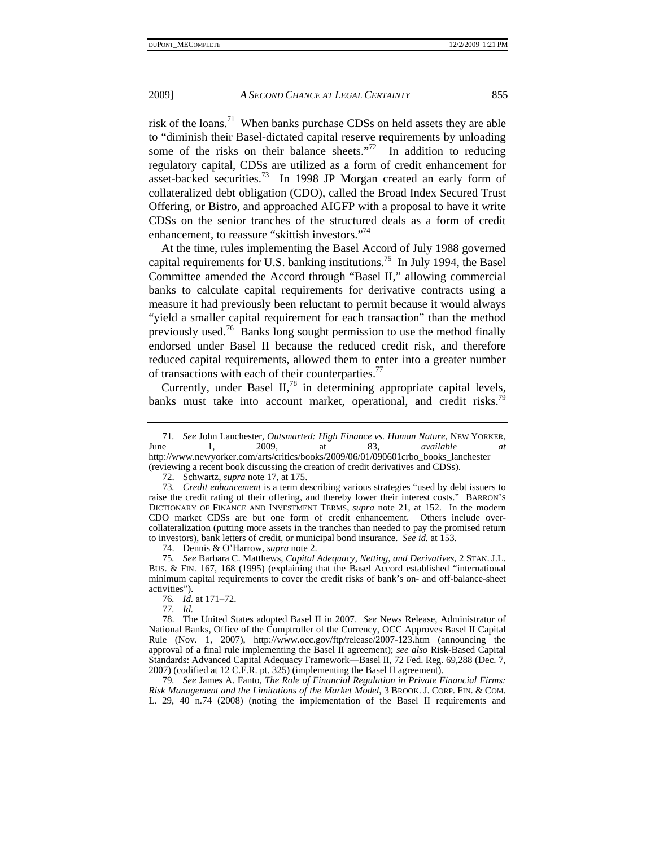risk of the loans.71 When banks purchase CDSs on held assets they are able to "diminish their Basel-dictated capital reserve requirements by unloading some of the risks on their balance sheets."<sup>72</sup> In addition to reducing regulatory capital, CDSs are utilized as a form of credit enhancement for asset-backed securities.73 In 1998 JP Morgan created an early form of collateralized debt obligation (CDO), called the Broad Index Secured Trust Offering, or Bistro, and approached AIGFP with a proposal to have it write CDSs on the senior tranches of the structured deals as a form of credit enhancement, to reassure "skittish investors."74

At the time, rules implementing the Basel Accord of July 1988 governed capital requirements for U.S. banking institutions.<sup>75</sup> In July 1994, the Basel Committee amended the Accord through "Basel II," allowing commercial banks to calculate capital requirements for derivative contracts using a measure it had previously been reluctant to permit because it would always "yield a smaller capital requirement for each transaction" than the method previously used.76 Banks long sought permission to use the method finally endorsed under Basel II because the reduced credit risk, and therefore reduced capital requirements, allowed them to enter into a greater number of transactions with each of their counterparties.<sup>77</sup>

Currently, under Basel  $II<sub>1</sub><sup>78</sup>$  in determining appropriate capital levels, banks must take into account market, operational, and credit risks.<sup>79</sup>

77*. Id.*

<sup>71</sup>*. See* John Lanchester, *Outsmarted: High Finance vs. Human Nature*, NEW YORKER, June 1, 2009, at 83, *available at* http://www.newyorker.com/arts/critics/books/2009/06/01/090601crbo\_books\_lanchester (reviewing a recent book discussing the creation of credit derivatives and CDSs).

 <sup>72.</sup> Schwartz, *supra* note 17, at 175.

<sup>73</sup>*. Credit enhancement* is a term describing various strategies "used by debt issuers to raise the credit rating of their offering, and thereby lower their interest costs." BARRON'S DICTIONARY OF FINANCE AND INVESTMENT TERMS, *supra* note 21, at 152. In the modern CDO market CDSs are but one form of credit enhancement. Others include overcollateralization (putting more assets in the tranches than needed to pay the promised return to investors), bank letters of credit, or municipal bond insurance. *See id.* at 153.

 <sup>74.</sup> Dennis & O'Harrow, *supra* note 2.

<sup>75</sup>*. See* Barbara C. Matthews, *Capital Adequacy, Netting, and Derivatives*, 2 STAN. J.L. BUS. & FIN. 167, 168 (1995) (explaining that the Basel Accord established "international minimum capital requirements to cover the credit risks of bank's on- and off-balance-sheet activities").

<sup>76</sup>*. Id.* at 171–72.

 <sup>78.</sup> The United States adopted Basel II in 2007. *See* News Release, Administrator of National Banks, Office of the Comptroller of the Currency, OCC Approves Basel II Capital Rule (Nov. 1, 2007), http://www.occ.gov/ftp/release/2007-123.htm (announcing the approval of a final rule implementing the Basel II agreement); *see also* Risk-Based Capital Standards: Advanced Capital Adequacy Framework—Basel II, 72 Fed. Reg. 69,288 (Dec. 7, 2007) (codified at 12 C.F.R. pt. 325) (implementing the Basel II agreement).

<sup>79</sup>*. See* James A. Fanto, *The Role of Financial Regulation in Private Financial Firms: Risk Management and the Limitations of the Market Model*, 3 BROOK. J. CORP. FIN. & COM. L. 29, 40 n.74 (2008) (noting the implementation of the Basel II requirements and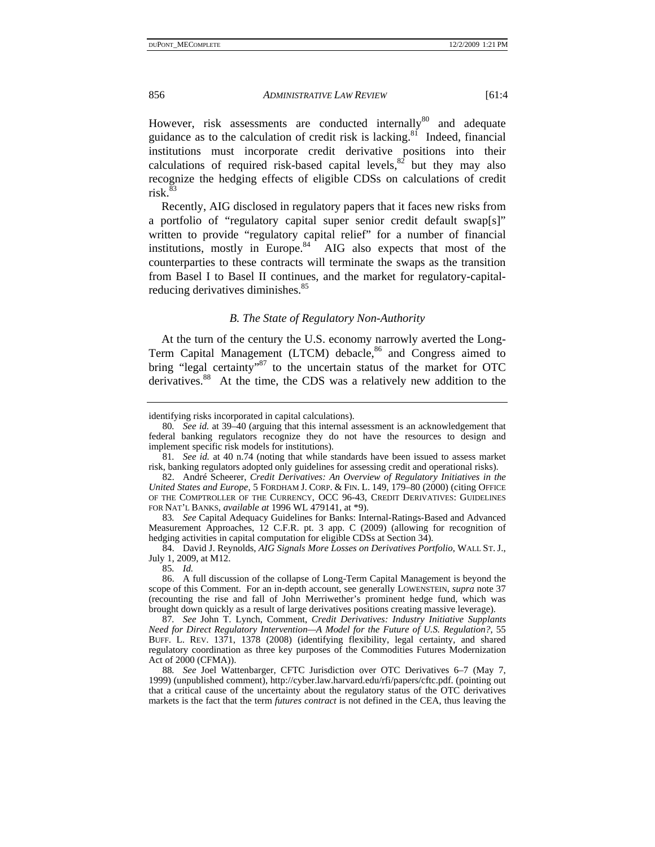However, risk assessments are conducted internally<sup>80</sup> and adequate guidance as to the calculation of credit risk is lacking.<sup>81</sup> Indeed, financial institutions must incorporate credit derivative positions into their calculations of required risk-based capital levels, $82$  but they may also recognize the hedging effects of eligible CDSs on calculations of credit  $risk<sup>83</sup>$ 

Recently, AIG disclosed in regulatory papers that it faces new risks from a portfolio of "regulatory capital super senior credit default swap[s]" written to provide "regulatory capital relief" for a number of financial institutions, mostly in Europe. $84$  AIG also expects that most of the counterparties to these contracts will terminate the swaps as the transition from Basel I to Basel II continues, and the market for regulatory-capitalreducing derivatives diminishes.<sup>85</sup>

#### *B. The State of Regulatory Non-Authority*

At the turn of the century the U.S. economy narrowly averted the Long-Term Capital Management (LTCM) debacle,<sup>86</sup> and Congress aimed to bring "legal certainty"<sup>87</sup> to the uncertain status of the market for OTC derivatives.<sup>88</sup> At the time, the CDS was a relatively new addition to the

85*. Id.*

identifying risks incorporated in capital calculations).

<sup>80</sup>*. See id.* at 39–40 (arguing that this internal assessment is an acknowledgement that federal banking regulators recognize they do not have the resources to design and implement specific risk models for institutions).

<sup>81</sup>*. See id.* at 40 n.74 (noting that while standards have been issued to assess market risk, banking regulators adopted only guidelines for assessing credit and operational risks).

 <sup>82.</sup> André Scheerer, *Credit Derivatives: An Overview of Regulatory Initiatives in the United States and Europe*, 5 FORDHAM J. CORP. & FIN. L. 149, 179–80 (2000) (citing OFFICE OF THE COMPTROLLER OF THE CURRENCY, OCC 96-43, CREDIT DERIVATIVES: GUIDELINES FOR NAT'L BANKS, *available at* 1996 WL 479141, at \*9).

<sup>83</sup>*. See* Capital Adequacy Guidelines for Banks: Internal-Ratings-Based and Advanced Measurement Approaches, 12 C.F.R. pt. 3 app. C (2009) (allowing for recognition of hedging activities in capital computation for eligible CDSs at Section 34).

 <sup>84.</sup> David J. Reynolds, *AIG Signals More Losses on Derivatives Portfolio*, WALL ST. J., July 1, 2009, at M12.

 <sup>86.</sup> A full discussion of the collapse of Long-Term Capital Management is beyond the scope of this Comment. For an in-depth account, see generally LOWENSTEIN, *supra* note 37 (recounting the rise and fall of John Merriwether's prominent hedge fund, which was brought down quickly as a result of large derivatives positions creating massive leverage).

<sup>87</sup>*. See* John T. Lynch, Comment, *Credit Derivatives: Industry Initiative Supplants Need for Direct Regulatory Intervention—A Model for the Future of U.S. Regulation?*, 55 BUFF. L. REV. 1371, 1378 (2008) (identifying flexibility, legal certainty, and shared regulatory coordination as three key purposes of the Commodities Futures Modernization Act of 2000 (CFMA)).

<sup>88</sup>*. See* Joel Wattenbarger, CFTC Jurisdiction over OTC Derivatives 6–7 (May 7, 1999) (unpublished comment), http://cyber.law.harvard.edu/rfi/papers/cftc.pdf. (pointing out that a critical cause of the uncertainty about the regulatory status of the OTC derivatives markets is the fact that the term *futures contract* is not defined in the CEA, thus leaving the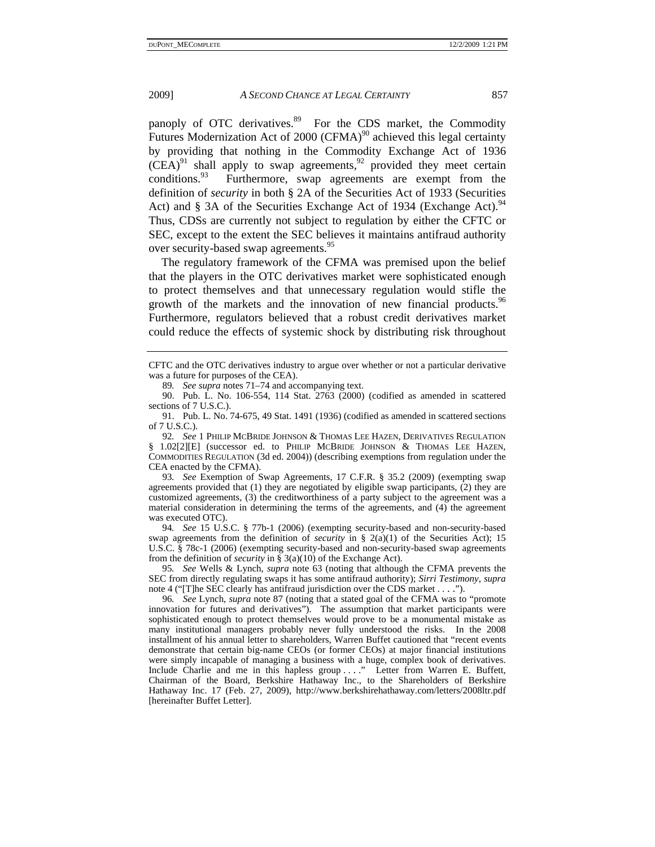panoply of OTC derivatives.<sup>89</sup> For the CDS market, the Commodity Futures Modernization Act of  $2000$  (CFMA)<sup>90</sup> achieved this legal certainty by providing that nothing in the Commodity Exchange Act of 1936  $(CEA)^{91}$  shall apply to swap agreements,<sup>92</sup> provided they meet certain conditions.<sup>93</sup> Furthermore, swap agreements are exempt from the Furthermore, swap agreements are exempt from the definition of *security* in both § 2A of the Securities Act of 1933 (Securities Act) and § 3A of the Securities Exchange Act of 1934 (Exchange Act).<sup>94</sup> Thus, CDSs are currently not subject to regulation by either the CFTC or SEC, except to the extent the SEC believes it maintains antifraud authority over security-based swap agreements.<sup>95</sup>

The regulatory framework of the CFMA was premised upon the belief that the players in the OTC derivatives market were sophisticated enough to protect themselves and that unnecessary regulation would stifle the growth of the markets and the innovation of new financial products.<sup>96</sup> Furthermore, regulators believed that a robust credit derivatives market could reduce the effects of systemic shock by distributing risk throughout

93*. See* Exemption of Swap Agreements, 17 C.F.R. § 35.2 (2009) (exempting swap agreements provided that (1) they are negotiated by eligible swap participants, (2) they are customized agreements, (3) the creditworthiness of a party subject to the agreement was a material consideration in determining the terms of the agreements, and  $(4)$  the agreement was executed OTC).

94*. See* 15 U.S.C. § 77b-1 (2006) (exempting security-based and non-security-based swap agreements from the definition of *security* in § 2(a)(1) of the Securities Act); 15 U.S.C. § 78c-1 (2006) (exempting security-based and non-security-based swap agreements from the definition of *security* in § 3(a)(10) of the Exchange Act).

95*. See* Wells & Lynch, *supra* note 63 (noting that although the CFMA prevents the SEC from directly regulating swaps it has some antifraud authority); *Sirri Testimony*, *supra*  note 4 ("[T]he SEC clearly has antifraud jurisdiction over the CDS market . . . .").

96*. See* Lynch, *supra* note 87 (noting that a stated goal of the CFMA was to "promote innovation for futures and derivatives"). The assumption that market participants were sophisticated enough to protect themselves would prove to be a monumental mistake as many institutional managers probably never fully understood the risks. In the 2008 installment of his annual letter to shareholders, Warren Buffet cautioned that "recent events demonstrate that certain big-name CEOs (or former CEOs) at major financial institutions were simply incapable of managing a business with a huge, complex book of derivatives. Include Charlie and me in this hapless group ...." Letter from Warren E. Buffett, Chairman of the Board, Berkshire Hathaway Inc., to the Shareholders of Berkshire Hathaway Inc. 17 (Feb. 27, 2009), http://www.berkshirehathaway.com/letters/2008ltr.pdf [hereinafter Buffet Letter].

CFTC and the OTC derivatives industry to argue over whether or not a particular derivative was a future for purposes of the CEA).

<sup>89</sup>*. See supra* notes 71–74 and accompanying text.

 <sup>90.</sup> Pub. L. No. 106-554, 114 Stat. 2763 (2000) (codified as amended in scattered sections of 7 U.S.C.).

 <sup>91.</sup> Pub. L. No. 74-675, 49 Stat. 1491 (1936) (codified as amended in scattered sections of 7 U.S.C.).

<sup>92</sup>*. See* 1 PHILIP MCBRIDE JOHNSON & THOMAS LEE HAZEN, DERIVATIVES REGULATION § 1.02[2][E] (successor ed. to PHILIP MCBRIDE JOHNSON & THOMAS LEE HAZEN, COMMODITIES REGULATION (3d ed. 2004)) (describing exemptions from regulation under the CEA enacted by the CFMA).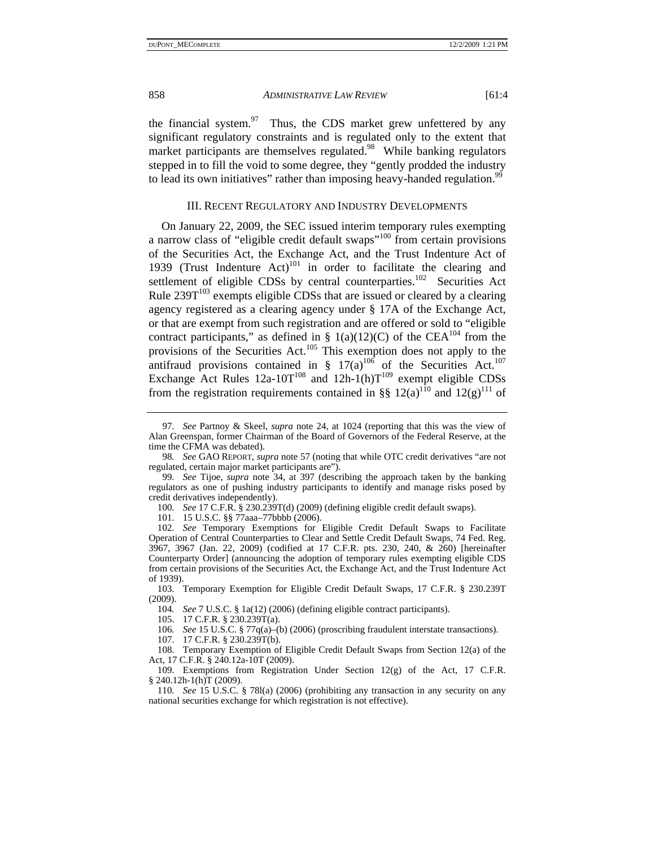the financial system. $97$  Thus, the CDS market grew unfettered by any significant regulatory constraints and is regulated only to the extent that market participants are themselves regulated.<sup>98</sup> While banking regulators stepped in to fill the void to some degree, they "gently prodded the industry to lead its own initiatives" rather than imposing heavy-handed regulation.<sup>99</sup>

#### III. RECENT REGULATORY AND INDUSTRY DEVELOPMENTS

On January 22, 2009, the SEC issued interim temporary rules exempting a narrow class of "eligible credit default swaps"100 from certain provisions of the Securities Act, the Exchange Act, and the Trust Indenture Act of 1939 (Trust Indenture  $Act$ )<sup>101</sup> in order to facilitate the clearing and settlement of eligible CDSs by central counterparties.<sup>102</sup> Securities Act Rule  $239T^{103}$  exempts eligible CDSs that are issued or cleared by a clearing agency registered as a clearing agency under § 17A of the Exchange Act, or that are exempt from such registration and are offered or sold to "eligible contract participants," as defined in § 1(a)(12)(C) of the CEA<sup>104</sup> from the provisions of the Securities Act.<sup>105</sup> This exemption does not apply to the antifraud provisions contained in §  $17(a)^{106}$  of the Securities Act.<sup>107</sup> Exchange Act Rules  $12a-10T^{108}$  and  $12h-1(h)T^{109}$  exempt eligible CDSs from the registration requirements contained in §§  $12(a)$ <sup>110</sup> and  $12(g)$ <sup>111</sup> of

101. 15 U.S.C. §§ 77aaa–77bbbb (2006).

102*. See* Temporary Exemptions for Eligible Credit Default Swaps to Facilitate Operation of Central Counterparties to Clear and Settle Credit Default Swaps, 74 Fed. Reg. 3967, 3967 (Jan. 22, 2009) (codified at 17 C.F.R. pts. 230, 240, & 260) [hereinafter Counterparty Order] (announcing the adoption of temporary rules exempting eligible CDS from certain provisions of the Securities Act, the Exchange Act, and the Trust Indenture Act of 1939).

 103. Temporary Exemption for Eligible Credit Default Swaps, 17 C.F.R. § 230.239T (2009).

104*. See* 7 U.S.C. § 1a(12) (2006) (defining eligible contract participants).

105. 17 C.F.R. § 230.239T(a).

106*. See* 15 U.S.C. § 77q(a)–(b) (2006) (proscribing fraudulent interstate transactions).

107. 17 C.F.R. § 230.239T(b).

 108. Temporary Exemption of Eligible Credit Default Swaps from Section 12(a) of the Act, 17 C.F.R. § 240.12a-10T (2009).

 109. Exemptions from Registration Under Section 12(g) of the Act, 17 C.F.R. § 240.12h-1(h)T (2009).

110*. See* 15 U.S.C. § 78l(a) (2006) (prohibiting any transaction in any security on any national securities exchange for which registration is not effective).

<sup>97</sup>*. See* Partnoy & Skeel, *supra* note 24, at 1024 (reporting that this was the view of Alan Greenspan, former Chairman of the Board of Governors of the Federal Reserve, at the time the CFMA was debated).

<sup>98</sup>*. See* GAO REPORT, *supra* note 57 (noting that while OTC credit derivatives "are not regulated, certain major market participants are").

<sup>99</sup>*. See* Tijoe, *supra* note 34, at 397 (describing the approach taken by the banking regulators as one of pushing industry participants to identify and manage risks posed by credit derivatives independently).

<sup>100</sup>*. See* 17 C.F.R. § 230.239T(d) (2009) (defining eligible credit default swaps).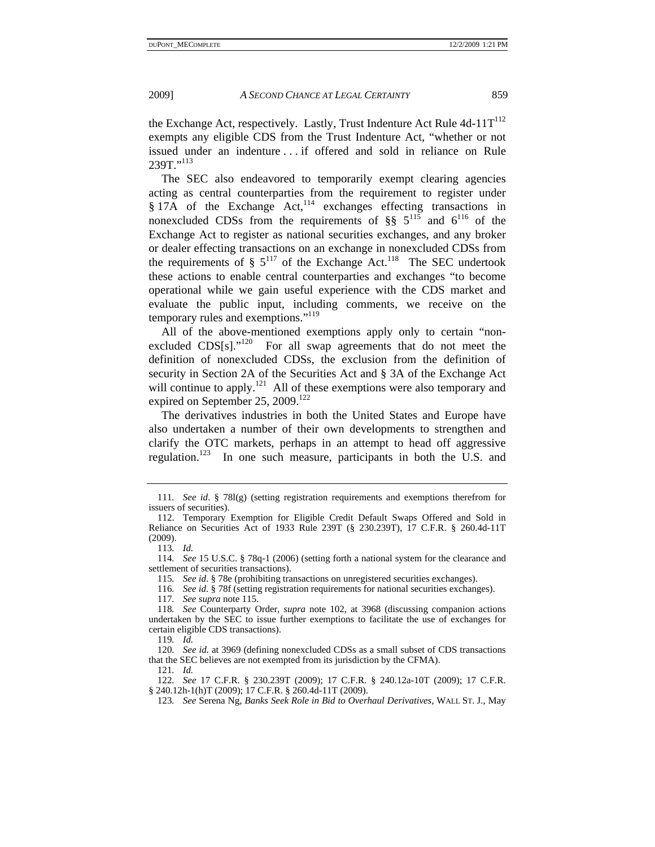the Exchange Act, respectively. Lastly, Trust Indenture Act Rule  $4d-11T^{112}$ exempts any eligible CDS from the Trust Indenture Act, "whether or not issued under an indenture . . . if offered and sold in reliance on Rule 239T<sup>"113</sup>

The SEC also endeavored to temporarily exempt clearing agencies acting as central counterparties from the requirement to register under  $§$  17A of the Exchange Act,<sup>114</sup> exchanges effecting transactions in nonexcluded CDSs from the requirements of §§  $5^{115}$  and  $6^{116}$  of the Exchange Act to register as national securities exchanges, and any broker or dealer effecting transactions on an exchange in nonexcluded CDSs from the requirements of  $\S 5^{117}$  of the Exchange Act.<sup>118</sup> The SEC undertook these actions to enable central counterparties and exchanges "to become operational while we gain useful experience with the CDS market and evaluate the public input, including comments, we receive on the temporary rules and exemptions."<sup>119</sup>

All of the above-mentioned exemptions apply only to certain "nonexcluded  $CDS[s]$ ."<sup>120</sup> For all swap agreements that do not meet the definition of nonexcluded CDSs, the exclusion from the definition of security in Section 2A of the Securities Act and § 3A of the Exchange Act will continue to apply.<sup>121</sup> All of these exemptions were also temporary and expired on September 25, 2009.<sup>122</sup>

The derivatives industries in both the United States and Europe have also undertaken a number of their own developments to strengthen and clarify the OTC markets, perhaps in an attempt to head off aggressive regulation.<sup>123</sup> In one such measure, participants in both the U.S. and

113*. Id.*

114*. See* 15 U.S.C. § 78q-1 (2006) (setting forth a national system for the clearance and settlement of securities transactions).

115*. See id*. § 78e (prohibiting transactions on unregistered securities exchanges).

116*. See id*. § 78f (setting registration requirements for national securities exchanges).

117*. See supra* note 115.

119*. Id.*

120*. See id.* at 3969 (defining nonexcluded CDSs as a small subset of CDS transactions that the SEC believes are not exempted from its jurisdiction by the CFMA).

121*. Id.*

122*. See* 17 C.F.R. § 230.239T (2009); 17 C.F.R. § 240.12a-10T (2009); 17 C.F.R. § 240.12h-1(h)T (2009); 17 C.F.R. § 260.4d-11T (2009).

123*. See* Serena Ng, *Banks Seek Role in Bid to Overhaul Derivatives*, WALL ST. J., May

<sup>111</sup>*. See id*. § 78l(g) (setting registration requirements and exemptions therefrom for issuers of securities).

 <sup>112.</sup> Temporary Exemption for Eligible Credit Default Swaps Offered and Sold in Reliance on Securities Act of 1933 Rule 239T (§ 230.239T), 17 C.F.R. § 260.4d-11T (2009).

<sup>118</sup>*. See* Counterparty Order, *supra* note 102, at 3968 (discussing companion actions undertaken by the SEC to issue further exemptions to facilitate the use of exchanges for certain eligible CDS transactions).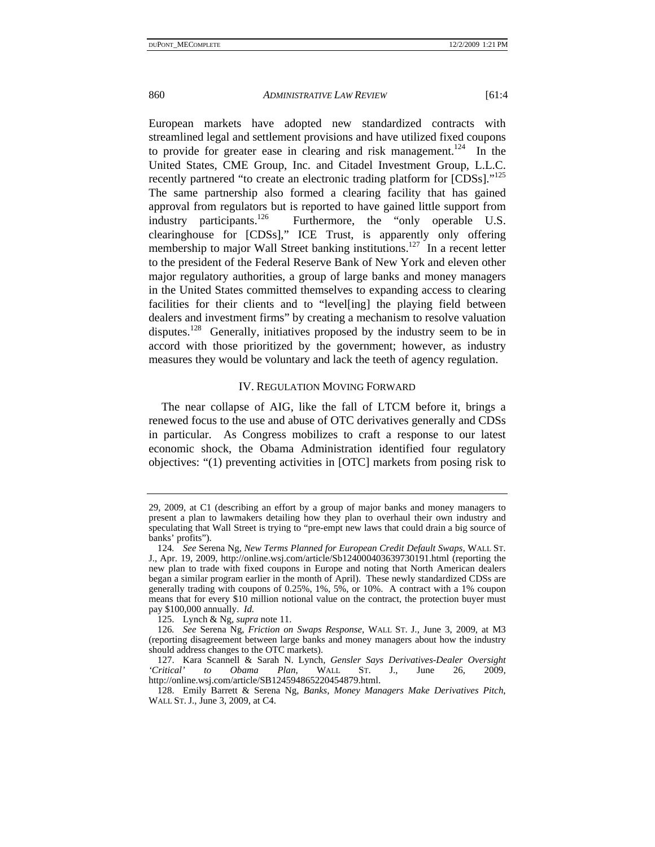European markets have adopted new standardized contracts with streamlined legal and settlement provisions and have utilized fixed coupons to provide for greater ease in clearing and risk management.<sup>124</sup> In the United States, CME Group, Inc. and Citadel Investment Group, L.L.C. recently partnered "to create an electronic trading platform for [CDSs]."<sup>125</sup> The same partnership also formed a clearing facility that has gained approval from regulators but is reported to have gained little support from industry participants.<sup>126</sup> Furthermore, the "only operable U.S. clearinghouse for [CDSs]," ICE Trust, is apparently only offering membership to major Wall Street banking institutions.<sup>127</sup> In a recent letter to the president of the Federal Reserve Bank of New York and eleven other major regulatory authorities, a group of large banks and money managers in the United States committed themselves to expanding access to clearing facilities for their clients and to "level[ing] the playing field between dealers and investment firms" by creating a mechanism to resolve valuation disputes.<sup>128</sup> Generally, initiatives proposed by the industry seem to be in accord with those prioritized by the government; however, as industry measures they would be voluntary and lack the teeth of agency regulation.

#### IV. REGULATION MOVING FORWARD

The near collapse of AIG, like the fall of LTCM before it, brings a renewed focus to the use and abuse of OTC derivatives generally and CDSs in particular. As Congress mobilizes to craft a response to our latest economic shock, the Obama Administration identified four regulatory objectives: "(1) preventing activities in [OTC] markets from posing risk to

<sup>29, 2009,</sup> at C1 (describing an effort by a group of major banks and money managers to present a plan to lawmakers detailing how they plan to overhaul their own industry and speculating that Wall Street is trying to "pre-empt new laws that could drain a big source of banks' profits").

<sup>124</sup>*. See* Serena Ng, *New Terms Planned for European Credit Default Swaps*, WALL ST. J., Apr. 19, 2009, http://online.wsj.com/article/Sb124000403639730191.html (reporting the new plan to trade with fixed coupons in Europe and noting that North American dealers began a similar program earlier in the month of April). These newly standardized CDSs are generally trading with coupons of 0.25%, 1%, 5%, or 10%. A contract with a 1% coupon means that for every \$10 million notional value on the contract, the protection buyer must pay \$100,000 annually. *Id.*

 <sup>125.</sup> Lynch & Ng, *supra* note 11.

<sup>126</sup>*. See* Serena Ng, *Friction on Swaps Response*, WALL ST. J., June 3, 2009, at M3 (reporting disagreement between large banks and money managers about how the industry should address changes to the OTC markets).

 <sup>127.</sup> Kara Scannell & Sarah N. Lynch, *Gensler Says Derivatives-Dealer Oversight 'Critical' to Obama Plan*, WALL ST. J., June 26, 2009, http://online.wsj.com/article/SB124594865220454879.html.

 <sup>128.</sup> Emily Barrett & Serena Ng, *Banks, Money Managers Make Derivatives Pitch*, WALL ST. J., June 3, 2009, at C4.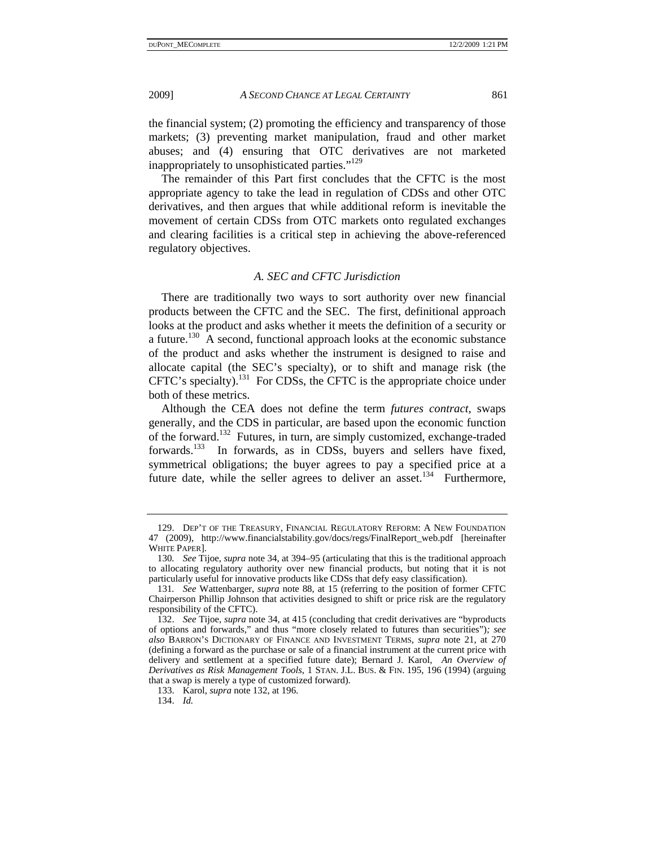the financial system; (2) promoting the efficiency and transparency of those markets; (3) preventing market manipulation, fraud and other market abuses; and (4) ensuring that OTC derivatives are not marketed inappropriately to unsophisticated parties."<sup>129</sup>

The remainder of this Part first concludes that the CFTC is the most appropriate agency to take the lead in regulation of CDSs and other OTC derivatives, and then argues that while additional reform is inevitable the movement of certain CDSs from OTC markets onto regulated exchanges and clearing facilities is a critical step in achieving the above-referenced regulatory objectives.

### *A. SEC and CFTC Jurisdiction*

There are traditionally two ways to sort authority over new financial products between the CFTC and the SEC. The first, definitional approach looks at the product and asks whether it meets the definition of a security or a future.<sup>130</sup> A second, functional approach looks at the economic substance of the product and asks whether the instrument is designed to raise and allocate capital (the SEC's specialty), or to shift and manage risk (the CFTC's specialty).<sup>131</sup> For CDSs, the CFTC is the appropriate choice under both of these metrics.

Although the CEA does not define the term *futures contract*, swaps generally, and the CDS in particular, are based upon the economic function of the forward.132 Futures, in turn, are simply customized, exchange-traded forwards.<sup>133</sup> In forwards, as in CDSs, buyers and sellers have fixed, symmetrical obligations; the buyer agrees to pay a specified price at a future date, while the seller agrees to deliver an asset.<sup>134</sup> Furthermore,

 <sup>129.</sup> DEP'T OF THE TREASURY, FINANCIAL REGULATORY REFORM: A NEW FOUNDATION 47 (2009), http://www.financialstability.gov/docs/regs/FinalReport\_web.pdf [hereinafter WHITE PAPER].

<sup>130</sup>*. See* Tijoe, *supra* note 34, at 394–95 (articulating that this is the traditional approach to allocating regulatory authority over new financial products, but noting that it is not particularly useful for innovative products like CDSs that defy easy classification).

<sup>131</sup>*. See* Wattenbarger, *supra* note 88, at 15 (referring to the position of former CFTC Chairperson Phillip Johnson that activities designed to shift or price risk are the regulatory responsibility of the CFTC).

 <sup>132.</sup> *See* Tijoe, *supra* note 34, at 415 (concluding that credit derivatives are "byproducts of options and forwards," and thus "more closely related to futures than securities")*; see also* BARRON'S DICTIONARY OF FINANCE AND INVESTMENT TERMS, *supra* note 21, at 270 (defining a forward as the purchase or sale of a financial instrument at the current price with delivery and settlement at a specified future date); Bernard J. Karol, *An Overview of Derivatives as Risk Management Tools*, 1 STAN. J.L. BUS. & FIN. 195, 196 (1994) (arguing that a swap is merely a type of customized forward).

 <sup>133.</sup> Karol, *supra* note 132, at 196.

 <sup>134.</sup> *Id.*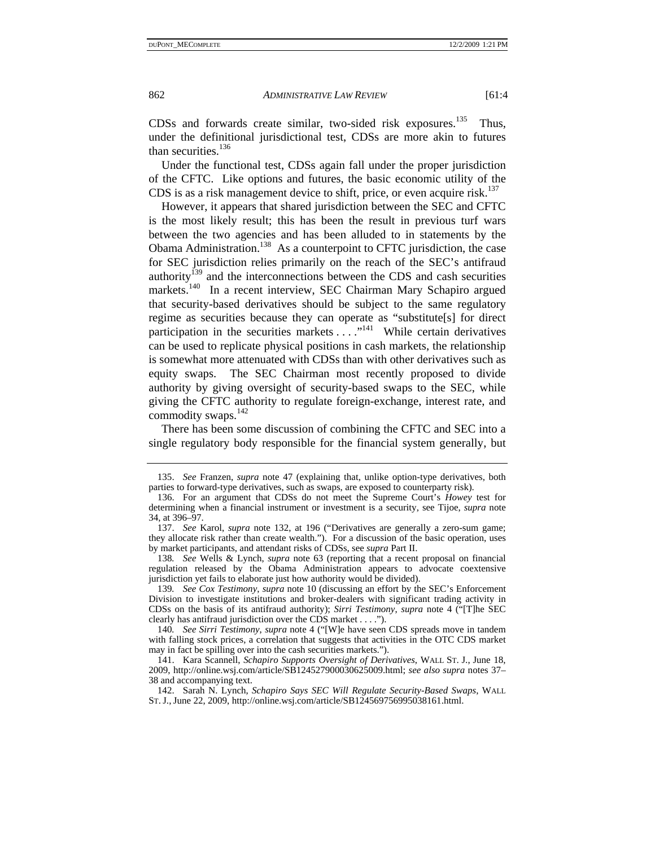CDSs and forwards create similar, two-sided risk exposures.<sup>135</sup> Thus, under the definitional jurisdictional test, CDSs are more akin to futures than securities. $136$ 

Under the functional test, CDSs again fall under the proper jurisdiction of the CFTC. Like options and futures, the basic economic utility of the CDS is as a risk management device to shift, price, or even acquire risk.<sup>137</sup>

However, it appears that shared jurisdiction between the SEC and CFTC is the most likely result; this has been the result in previous turf wars between the two agencies and has been alluded to in statements by the Obama Administration.<sup>138</sup> As a counterpoint to CFTC jurisdiction, the case for SEC jurisdiction relies primarily on the reach of the SEC's antifraud authority<sup>139</sup> and the interconnections between the CDS and cash securities markets.<sup>140</sup> In a recent interview, SEC Chairman Mary Schapiro argued that security-based derivatives should be subject to the same regulatory regime as securities because they can operate as "substitute[s] for direct participation in the securities markets . . . . . "<sup>141</sup> While certain derivatives can be used to replicate physical positions in cash markets, the relationship is somewhat more attenuated with CDSs than with other derivatives such as equity swaps. The SEC Chairman most recently proposed to divide authority by giving oversight of security-based swaps to the SEC, while giving the CFTC authority to regulate foreign-exchange, interest rate, and commodity swaps. $142$ 

There has been some discussion of combining the CFTC and SEC into a single regulatory body responsible for the financial system generally, but

 <sup>135.</sup> *See* Franzen, *supra* note 47 (explaining that, unlike option-type derivatives, both parties to forward-type derivatives, such as swaps, are exposed to counterparty risk).

 <sup>136.</sup> For an argument that CDSs do not meet the Supreme Court's *Howey* test for determining when a financial instrument or investment is a security, see Tijoe, *supra* note 34, at 396–97.

 <sup>137.</sup> *See* Karol, *supra* note 132, at 196 ("Derivatives are generally a zero-sum game; they allocate risk rather than create wealth."). For a discussion of the basic operation, uses by market participants, and attendant risks of CDSs, see *supra* Part II.

<sup>138</sup>*. See* Wells & Lynch, *supra* note 63 (reporting that a recent proposal on financial regulation released by the Obama Administration appears to advocate coextensive jurisdiction yet fails to elaborate just how authority would be divided).

<sup>139</sup>*. See Cox Testimony*, *supra* note 10 (discussing an effort by the SEC's Enforcement Division to investigate institutions and broker-dealers with significant trading activity in CDSs on the basis of its antifraud authority); *Sirri Testimony*, *supra* note 4 ("[T]he SEC clearly has antifraud jurisdiction over the CDS market . . . .").

<sup>140</sup>*. See Sirri Testimony*, *supra* note 4 ("[W]e have seen CDS spreads move in tandem with falling stock prices, a correlation that suggests that activities in the OTC CDS market may in fact be spilling over into the cash securities markets.").

 <sup>141.</sup> Kara Scannell, *Schapiro Supports Oversight of Derivatives*, WALL ST. J., June 18, 2009, http://online.wsj.com/article/SB124527900030625009.html; *see also supra* notes 37– 38 and accompanying text.

 <sup>142.</sup> Sarah N. Lynch, *Schapiro Says SEC Will Regulate Security-Based Swaps*, WALL ST. J., June 22, 2009, http://online.wsj.com/article/SB124569756995038161.html.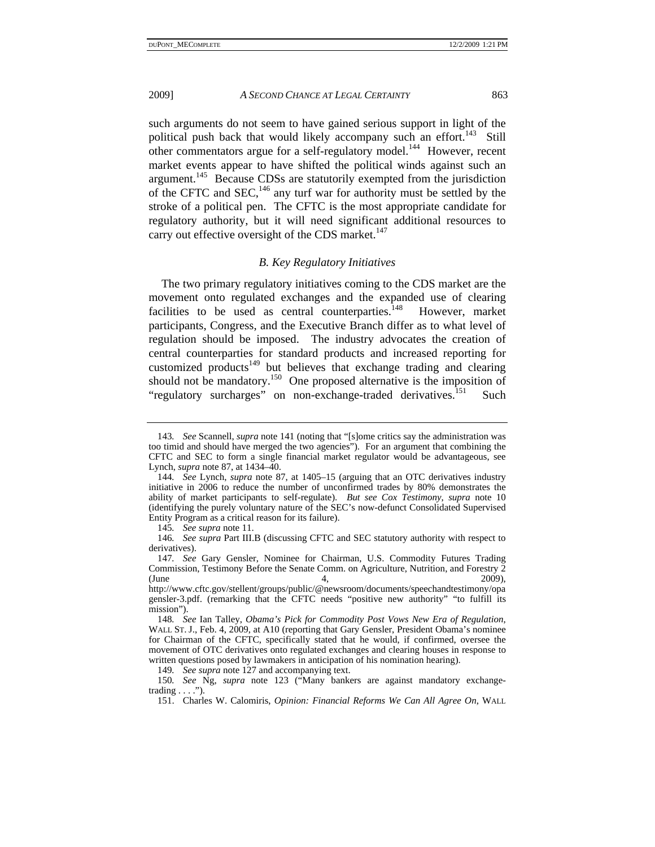such arguments do not seem to have gained serious support in light of the political push back that would likely accompany such an effort.<sup>143</sup> Still other commentators argue for a self-regulatory model.<sup>144</sup> However, recent market events appear to have shifted the political winds against such an argument.145 Because CDSs are statutorily exempted from the jurisdiction of the CFTC and SEC, $^{146}$  any turf war for authority must be settled by the stroke of a political pen. The CFTC is the most appropriate candidate for regulatory authority, but it will need significant additional resources to carry out effective oversight of the CDS market.<sup>147</sup>

#### *B. Key Regulatory Initiatives*

The two primary regulatory initiatives coming to the CDS market are the movement onto regulated exchanges and the expanded use of clearing facilities to be used as central counterparties.<sup>148</sup> However, market participants, Congress, and the Executive Branch differ as to what level of regulation should be imposed. The industry advocates the creation of central counterparties for standard products and increased reporting for customized products $149$  but believes that exchange trading and clearing should not be mandatory.<sup>150</sup> One proposed alternative is the imposition of "regulatory surcharges" on non-exchange-traded derivatives.<sup>151</sup> Such

<sup>143</sup>*. See* Scannell, *supra* note 141 (noting that "[s]ome critics say the administration was too timid and should have merged the two agencies"). For an argument that combining the CFTC and SEC to form a single financial market regulator would be advantageous, see Lynch, *supra* note 87, at 1434–40.

<sup>144</sup>*. See* Lynch, *supra* note 87, at 1405–15 (arguing that an OTC derivatives industry initiative in 2006 to reduce the number of unconfirmed trades by 80% demonstrates the ability of market participants to self-regulate). *But see Cox Testimony*, *supra* note 10 (identifying the purely voluntary nature of the SEC's now-defunct Consolidated Supervised Entity Program as a critical reason for its failure).

<sup>145</sup>*. See supra* note 11.

<sup>146</sup>*. See supra* Part III.B (discussing CFTC and SEC statutory authority with respect to derivatives).

<sup>147</sup>*. See* Gary Gensler, Nominee for Chairman, U.S. Commodity Futures Trading Commission, Testimony Before the Senate Comm. on Agriculture, Nutrition, and Forestry 2 (June 4, 2009),

http://www.cftc.gov/stellent/groups/public/@newsroom/documents/speechandtestimony/opa gensler-3.pdf. (remarking that the CFTC needs "positive new authority" "to fulfill its mission").

<sup>148</sup>*. See* Ian Talley, *Obama's Pick for Commodity Post Vows New Era of Regulation*, WALL ST. J., Feb. 4, 2009, at A10 (reporting that Gary Gensler, President Obama's nominee for Chairman of the CFTC, specifically stated that he would, if confirmed, oversee the movement of OTC derivatives onto regulated exchanges and clearing houses in response to written questions posed by lawmakers in anticipation of his nomination hearing).

<sup>149</sup>*. See supra* note 127 and accompanying text.

<sup>150</sup>*. See* Ng, *supra* note 123 ("Many bankers are against mandatory exchangetrading  $\dots$  .").

 <sup>151.</sup> Charles W. Calomiris, *Opinion: Financial Reforms We Can All Agree On*, WALL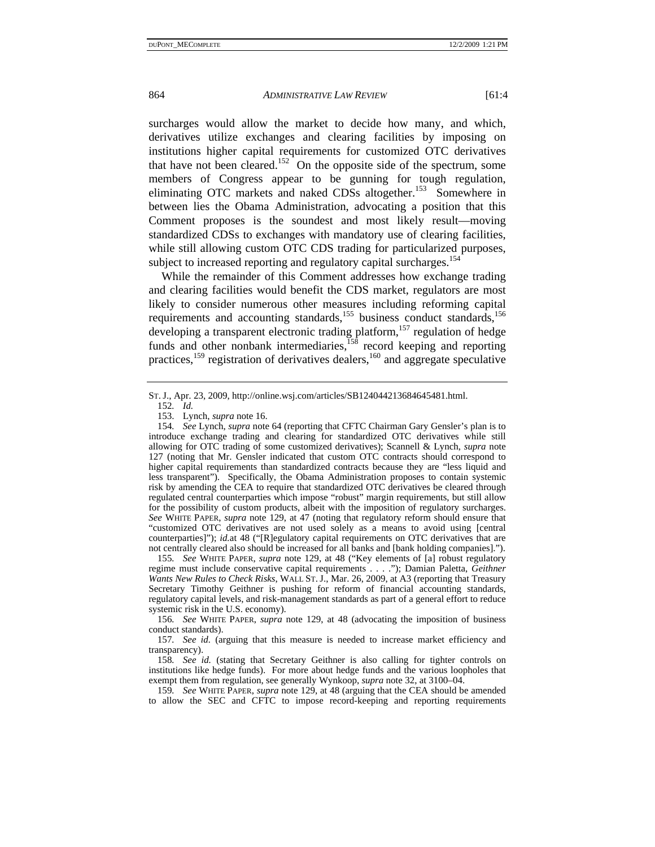surcharges would allow the market to decide how many, and which, derivatives utilize exchanges and clearing facilities by imposing on institutions higher capital requirements for customized OTC derivatives that have not been cleared.<sup>152</sup> On the opposite side of the spectrum, some members of Congress appear to be gunning for tough regulation, eliminating OTC markets and naked CDSs altogether.<sup>153</sup> Somewhere in between lies the Obama Administration, advocating a position that this Comment proposes is the soundest and most likely result—moving standardized CDSs to exchanges with mandatory use of clearing facilities, while still allowing custom OTC CDS trading for particularized purposes, subject to increased reporting and regulatory capital surcharges.<sup>154</sup>

While the remainder of this Comment addresses how exchange trading and clearing facilities would benefit the CDS market, regulators are most likely to consider numerous other measures including reforming capital requirements and accounting standards,<sup>155</sup> business conduct standards,<sup>156</sup> developing a transparent electronic trading platform,<sup>157</sup> regulation of hedge funds and other nonbank intermediaries, $\frac{158}{158}$  record keeping and reporting practices,<sup>159</sup> registration of derivatives dealers,<sup>160</sup> and aggregate speculative

155*. See* WHITE PAPER, *supra* note 129, at 48 ("Key elements of [a] robust regulatory regime must include conservative capital requirements . . . ."); Damian Paletta, *Geithner Wants New Rules to Check Risks*, WALL ST. J., Mar. 26, 2009, at A3 (reporting that Treasury Secretary Timothy Geithner is pushing for reform of financial accounting standards, regulatory capital levels, and risk-management standards as part of a general effort to reduce systemic risk in the U.S. economy).

156*. See* WHITE PAPER, *supra* note 129, at 48 (advocating the imposition of business conduct standards).

158*. See id.* (stating that Secretary Geithner is also calling for tighter controls on institutions like hedge funds). For more about hedge funds and the various loopholes that exempt them from regulation, see generally Wynkoop, *supra* note 32, at 3100–04.

159*. See* WHITE PAPER, *supra* note 129, at 48 (arguing that the CEA should be amended to allow the SEC and CFTC to impose record-keeping and reporting requirements

ST. J., Apr. 23, 2009, http://online.wsj.com/articles/SB124044213684645481.html.

<sup>152</sup>*. Id.*

 <sup>153.</sup> Lynch, *supra* note 16.

<sup>154</sup>*. See* Lynch, *supra* note 64 (reporting that CFTC Chairman Gary Gensler's plan is to introduce exchange trading and clearing for standardized OTC derivatives while still allowing for OTC trading of some customized derivatives); Scannell & Lynch, *supra* note 127 (noting that Mr. Gensler indicated that custom OTC contracts should correspond to higher capital requirements than standardized contracts because they are "less liquid and less transparent"). Specifically, the Obama Administration proposes to contain systemic risk by amending the CEA to require that standardized OTC derivatives be cleared through regulated central counterparties which impose "robust" margin requirements, but still allow for the possibility of custom products, albeit with the imposition of regulatory surcharges. *See* WHITE PAPER, *supra* note 129, at 47 (noting that regulatory reform should ensure that "customized OTC derivatives are not used solely as a means to avoid using [central counterparties]"); *id.*at 48 ("[R]egulatory capital requirements on OTC derivatives that are not centrally cleared also should be increased for all banks and [bank holding companies].").

<sup>157</sup>*. See id.* (arguing that this measure is needed to increase market efficiency and transparency).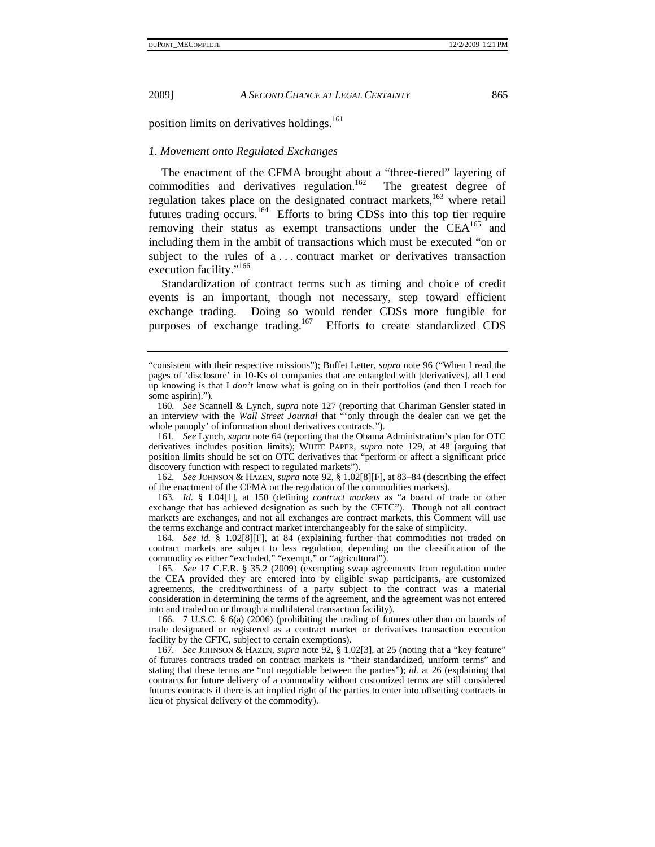position limits on derivatives holdings.<sup>161</sup>

#### *1. Movement onto Regulated Exchanges*

The enactment of the CFMA brought about a "three-tiered" layering of commodities and derivatives regulation.<sup>162</sup> The greatest degree of regulation takes place on the designated contract markets,<sup>163</sup> where retail futures trading occurs.<sup>164</sup> Efforts to bring CDSs into this top tier require removing their status as exempt transactions under the  $\text{CEA}^{165}$  and including them in the ambit of transactions which must be executed "on or subject to the rules of a . . . contract market or derivatives transaction execution facility."<sup>166</sup>

Standardization of contract terms such as timing and choice of credit events is an important, though not necessary, step toward efficient exchange trading. Doing so would render CDSs more fungible for purposes of exchange trading.<sup>167</sup> Efforts to create standardized CDS

162*. See* JOHNSON & HAZEN, *supra* note 92, § 1.02[8][F], at 83–84 (describing the effect of the enactment of the CFMA on the regulation of the commodities markets).

163*. Id.* § 1.04[1], at 150 (defining *contract markets* as "a board of trade or other exchange that has achieved designation as such by the CFTC"). Though not all contract markets are exchanges, and not all exchanges are contract markets, this Comment will use the terms exchange and contract market interchangeably for the sake of simplicity.

164*. See id.* § 1.02[8][F], at 84 (explaining further that commodities not traded on contract markets are subject to less regulation, depending on the classification of the commodity as either "excluded," "exempt," or "agricultural").

165*. See* 17 C.F.R. § 35.2 (2009) (exempting swap agreements from regulation under the CEA provided they are entered into by eligible swap participants, are customized agreements, the creditworthiness of a party subject to the contract was a material consideration in determining the terms of the agreement, and the agreement was not entered into and traded on or through a multilateral transaction facility).

 166. 7 U.S.C. § 6(a) (2006) (prohibiting the trading of futures other than on boards of trade designated or registered as a contract market or derivatives transaction execution facility by the CFTC, subject to certain exemptions).

167*. See* JOHNSON & HAZEN, *supra* note 92, § 1.02[3], at 25 (noting that a "key feature" of futures contracts traded on contract markets is "their standardized, uniform terms" and stating that these terms are "not negotiable between the parties"); *id.* at 26 (explaining that contracts for future delivery of a commodity without customized terms are still considered futures contracts if there is an implied right of the parties to enter into offsetting contracts in lieu of physical delivery of the commodity).

<sup>&</sup>quot;consistent with their respective missions"); Buffet Letter, *supra* note 96 ("When I read the pages of 'disclosure' in 10-Ks of companies that are entangled with [derivatives], all I end up knowing is that I *don't* know what is going on in their portfolios (and then I reach for some aspirin).").

<sup>160</sup>*. See* Scannell & Lynch, *supra* note 127 (reporting that Chariman Gensler stated in an interview with the *Wall Street Journal* that "'only through the dealer can we get the whole panoply' of information about derivatives contracts.").

<sup>161</sup>*. See* Lynch, *supra* note 64 (reporting that the Obama Administration's plan for OTC derivatives includes position limits); WHITE PAPER, *supra* note 129, at 48 (arguing that position limits should be set on OTC derivatives that "perform or affect a significant price discovery function with respect to regulated markets").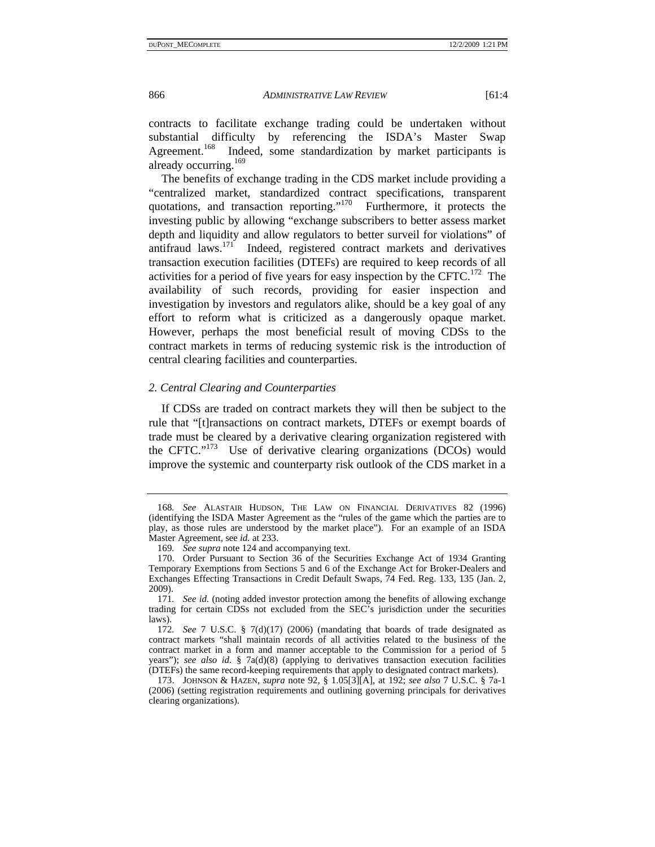contracts to facilitate exchange trading could be undertaken without substantial difficulty by referencing the ISDA's Master Swap Agreement.<sup>168</sup> Indeed, some standardization by market participants is Indeed, some standardization by market participants is already occurring.<sup>169</sup>

The benefits of exchange trading in the CDS market include providing a "centralized market, standardized contract specifications, transparent quotations, and transaction reporting."170 Furthermore, it protects the investing public by allowing "exchange subscribers to better assess market depth and liquidity and allow regulators to better surveil for violations" of antifraud laws.171 Indeed, registered contract markets and derivatives transaction execution facilities (DTEFs) are required to keep records of all activities for a period of five years for easy inspection by the CFTC.<sup>172</sup> The availability of such records, providing for easier inspection and investigation by investors and regulators alike, should be a key goal of any effort to reform what is criticized as a dangerously opaque market. However, perhaps the most beneficial result of moving CDSs to the contract markets in terms of reducing systemic risk is the introduction of central clearing facilities and counterparties.

#### *2. Central Clearing and Counterparties*

If CDSs are traded on contract markets they will then be subject to the rule that "[t]ransactions on contract markets, DTEFs or exempt boards of trade must be cleared by a derivative clearing organization registered with the CFTC."173 Use of derivative clearing organizations (DCOs) would improve the systemic and counterparty risk outlook of the CDS market in a

<sup>168</sup>*. See* ALASTAIR HUDSON, THE LAW ON FINANCIAL DERIVATIVES 82 (1996) (identifying the ISDA Master Agreement as the "rules of the game which the parties are to play, as those rules are understood by the market place"). For an example of an ISDA Master Agreement, see *id.* at 233.

<sup>169</sup>*. See supra* note 124 and accompanying text.

 <sup>170.</sup> Order Pursuant to Section 36 of the Securities Exchange Act of 1934 Granting Temporary Exemptions from Sections 5 and 6 of the Exchange Act for Broker-Dealers and Exchanges Effecting Transactions in Credit Default Swaps, 74 Fed. Reg. 133, 135 (Jan. 2, 2009).

<sup>171</sup>*. See id.* (noting added investor protection among the benefits of allowing exchange trading for certain CDSs not excluded from the SEC's jurisdiction under the securities laws).

<sup>172</sup>*. See* 7 U.S.C. § 7(d)(17) (2006) (mandating that boards of trade designated as contract markets "shall maintain records of all activities related to the business of the contract market in a form and manner acceptable to the Commission for a period of 5 years"); *see also id*. § 7a(d)(8) (applying to derivatives transaction execution facilities (DTEFs) the same record-keeping requirements that apply to designated contract markets).

 <sup>173.</sup> JOHNSON & HAZEN, *supra* note 92, § 1.05[3][A], at 192; *see also* 7 U.S.C. § 7a-1 (2006) (setting registration requirements and outlining governing principals for derivatives clearing organizations).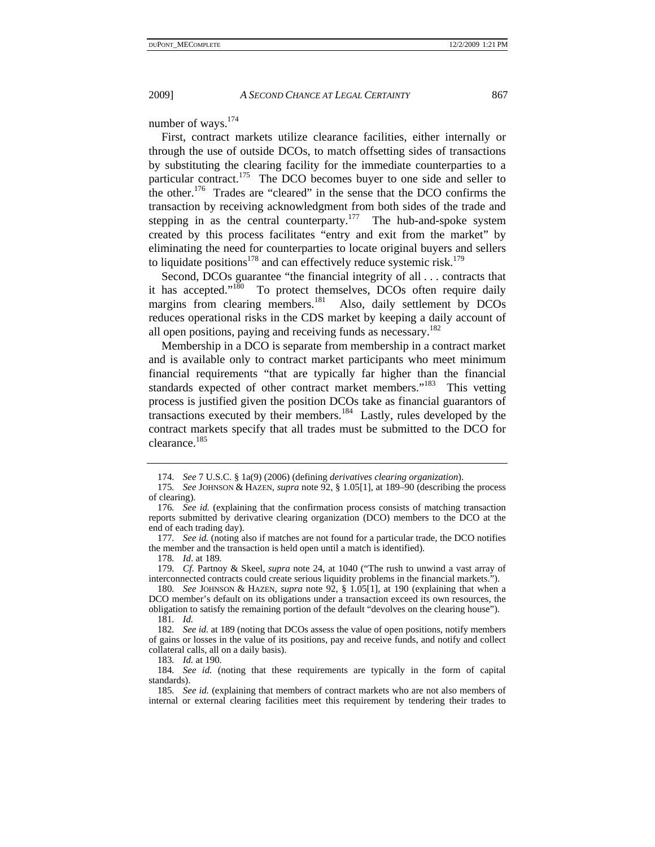number of ways.<sup>174</sup>

First, contract markets utilize clearance facilities, either internally or through the use of outside DCOs, to match offsetting sides of transactions by substituting the clearing facility for the immediate counterparties to a particular contract.<sup>175</sup> The DCO becomes buyer to one side and seller to the other.<sup>176</sup> Trades are "cleared" in the sense that the DCO confirms the transaction by receiving acknowledgment from both sides of the trade and stepping in as the central counterparty.<sup>177</sup> The hub-and-spoke system created by this process facilitates "entry and exit from the market" by eliminating the need for counterparties to locate original buyers and sellers to liquidate positions<sup>178</sup> and can effectively reduce systemic risk.<sup>179</sup>

Second, DCOs guarantee "the financial integrity of all . . . contracts that it has accepted."<sup>180</sup> To protect themselves, DCOs often require daily margins from clearing members.<sup>181</sup> Also, daily settlement by DCOs reduces operational risks in the CDS market by keeping a daily account of all open positions, paying and receiving funds as necessary.<sup>182</sup>

Membership in a DCO is separate from membership in a contract market and is available only to contract market participants who meet minimum financial requirements "that are typically far higher than the financial standards expected of other contract market members."<sup>183</sup> This vetting process is justified given the position DCOs take as financial guarantors of transactions executed by their members.184 Lastly, rules developed by the contract markets specify that all trades must be submitted to the DCO for clearance.<sup>185</sup>

177*. See id.* (noting also if matches are not found for a particular trade, the DCO notifies the member and the transaction is held open until a match is identified).

<sup>174</sup>*. See* 7 U.S.C. § 1a(9) (2006) (defining *derivatives clearing organization*).

<sup>175</sup>*. See* JOHNSON & HAZEN, *supra* note 92, § 1.05[1], at 189–90 (describing the process of clearing).

<sup>176</sup>*. See id.* (explaining that the confirmation process consists of matching transaction reports submitted by derivative clearing organization (DCO) members to the DCO at the end of each trading day).

<sup>178</sup>*. Id*. at 189*.*

<sup>179</sup>*. Cf.* Partnoy & Skeel, *supra* note 24, at 1040 ("The rush to unwind a vast array of interconnected contracts could create serious liquidity problems in the financial markets.").

<sup>180</sup>*. See* JOHNSON & HAZEN, *supra* note 92, § 1.05[1], at 190 (explaining that when a DCO member's default on its obligations under a transaction exceed its own resources, the obligation to satisfy the remaining portion of the default "devolves on the clearing house").

<sup>181</sup>*. Id.*

<sup>182</sup>*. See id.* at 189 (noting that DCOs assess the value of open positions, notify members of gains or losses in the value of its positions, pay and receive funds, and notify and collect collateral calls, all on a daily basis).

<sup>183</sup>*. Id.* at 190.

<sup>184</sup>*. See id.* (noting that these requirements are typically in the form of capital standards).

<sup>185</sup>*. See id.* (explaining that members of contract markets who are not also members of internal or external clearing facilities meet this requirement by tendering their trades to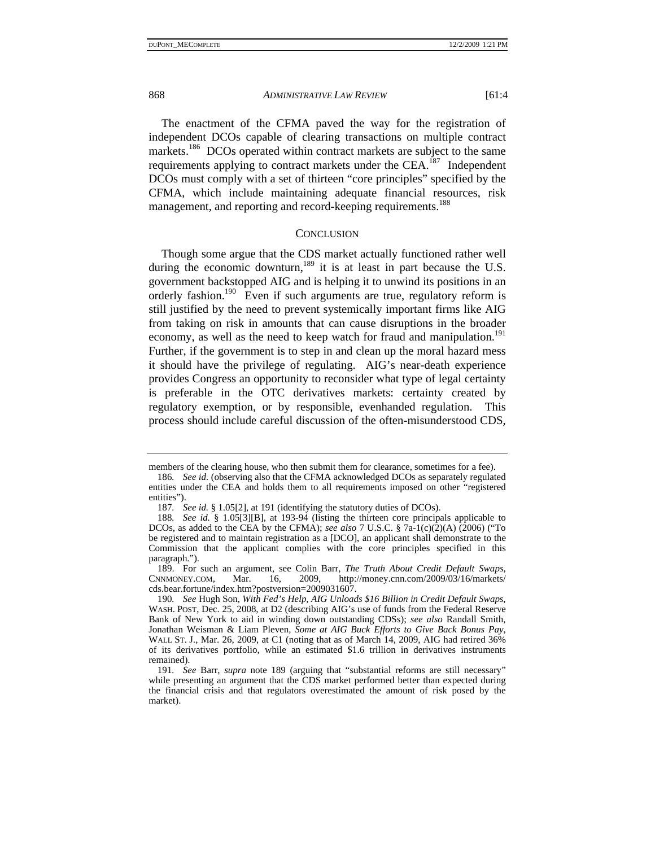The enactment of the CFMA paved the way for the registration of independent DCOs capable of clearing transactions on multiple contract markets.<sup>186</sup> DCOs operated within contract markets are subject to the same requirements applying to contract markets under the  $CEA$ <sup>187</sup>. Independent DCOs must comply with a set of thirteen "core principles" specified by the CFMA, which include maintaining adequate financial resources, risk management, and reporting and record-keeping requirements.<sup>188</sup>

### **CONCLUSION**

Though some argue that the CDS market actually functioned rather well during the economic downturn, $189$  it is at least in part because the U.S. government backstopped AIG and is helping it to unwind its positions in an orderly fashion.<sup>190</sup> Even if such arguments are true, regulatory reform is still justified by the need to prevent systemically important firms like AIG from taking on risk in amounts that can cause disruptions in the broader economy, as well as the need to keep watch for fraud and manipulation.<sup>191</sup> Further, if the government is to step in and clean up the moral hazard mess it should have the privilege of regulating. AIG's near-death experience provides Congress an opportunity to reconsider what type of legal certainty is preferable in the OTC derivatives markets: certainty created by regulatory exemption, or by responsible, evenhanded regulation. This process should include careful discussion of the often-misunderstood CDS,

members of the clearing house, who then submit them for clearance, sometimes for a fee).

<sup>186</sup>*. See id.* (observing also that the CFMA acknowledged DCOs as separately regulated entities under the CEA and holds them to all requirements imposed on other "registered entities").

<sup>187</sup>*. See id.* § 1.05[2], at 191 (identifying the statutory duties of DCOs).

<sup>188</sup>*. See id.* § 1.05[3][B], at 193-94 (listing the thirteen core principals applicable to DCOs, as added to the CEA by the CFMA); *see also* 7 U.S.C. § 7a-1(c)(2)(A) (2006) ("To be registered and to maintain registration as a [DCO], an applicant shall demonstrate to the Commission that the applicant complies with the core principles specified in this paragraph.").

 <sup>189.</sup> For such an argument, see Colin Barr, *The Truth About Credit Default Swaps*, CNNMONEY.COM, Mar. 16, 2009, http://money.cnn.com/2009/03/16/markets/ cds.bear.fortune/index.htm?postversion=2009031607.

<sup>190</sup>*. See* Hugh Son, *With Fed's Help, AIG Unloads \$16 Billion in Credit Default Swaps*, WASH. POST, Dec. 25, 2008, at D2 (describing AIG's use of funds from the Federal Reserve Bank of New York to aid in winding down outstanding CDSs); *see also* Randall Smith, Jonathan Weisman & Liam Pleven, *Some at AIG Buck Efforts to Give Back Bonus Pay*, WALL ST. J., Mar. 26, 2009, at C1 (noting that as of March 14, 2009, AIG had retired 36% of its derivatives portfolio, while an estimated \$1.6 trillion in derivatives instruments remained).

<sup>191</sup>*. See* Barr, *supra* note 189 (arguing that "substantial reforms are still necessary" while presenting an argument that the CDS market performed better than expected during the financial crisis and that regulators overestimated the amount of risk posed by the market).